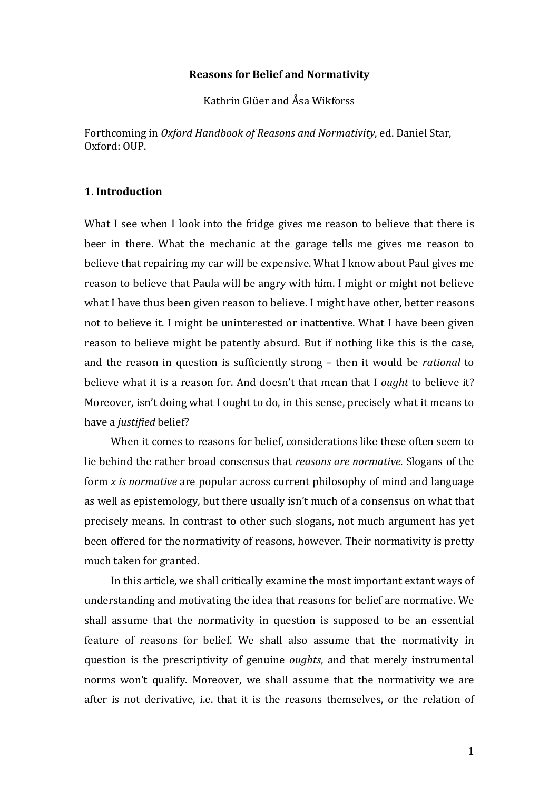#### **Reasons for Belief and Normativity**

Kathrin Glüer and Åsa Wikforss

Forthcoming in *Oxford Handbook of Reasons and Normativity*, ed. Daniel Star, Oxford: OUP.

## **1. Introduction**

What I see when I look into the fridge gives me reason to believe that there is beer in there. What the mechanic at the garage tells me gives me reason to believe that repairing my car will be expensive. What I know about Paul gives me reason to believe that Paula will be angry with him. I might or might not believe what I have thus been given reason to believe. I might have other, better reasons not to believe it. I might be uninterested or inattentive. What I have been given reason to believe might be patently absurd. But if nothing like this is the case, and the reason in question is sufficiently strong - then it would be *rational* to believe what it is a reason for. And doesn't that mean that I *ought* to believe it? Moreover, isn't doing what I ought to do, in this sense, precisely what it means to have a *justified* belief?

When it comes to reasons for belief, considerations like these often seem to lie behind the rather broad consensus that *reasons are normative*. Slogans of the form *x* is normative are popular across current philosophy of mind and language as well as epistemology, but there usually isn't much of a consensus on what that precisely means. In contrast to other such slogans, not much argument has yet been offered for the normativity of reasons, however. Their normativity is pretty much taken for granted.

In this article, we shall critically examine the most important extant ways of understanding and motivating the idea that reasons for belief are normative. We shall assume that the normativity in question is supposed to be an essential feature of reasons for belief. We shall also assume that the normativity in question is the prescriptivity of genuine *oughts*, and that merely instrumental norms won't qualify. Moreover, we shall assume that the normativity we are after is not derivative, i.e. that it is the reasons themselves, or the relation of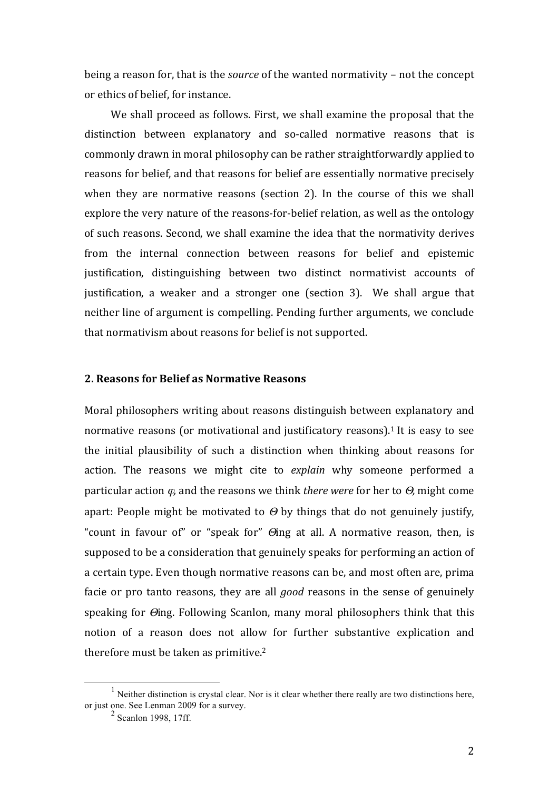being a reason for, that is the *source* of the wanted normativity – not the concept or ethics of belief, for instance.

We shall proceed as follows. First, we shall examine the proposal that the distinction between explanatory and so-called normative reasons that is commonly drawn in moral philosophy can be rather straightforwardly applied to reasons for belief, and that reasons for belief are essentially normative precisely when they are normative reasons (section 2). In the course of this we shall explore the very nature of the reasons-for-belief relation, as well as the ontology of such reasons. Second, we shall examine the idea that the normativity derives from the internal connection between reasons for belief and epistemic justification, distinguishing between two distinct normativist accounts of justification, a weaker and a stronger one (section 3). We shall argue that neither line of argument is compelling. Pending further arguments, we conclude that normativism about reasons for belief is not supported.

### **2. Reasons for Belief as Normative Reasons**

Moral philosophers writing about reasons distinguish between explanatory and normative reasons (or motivational and justificatory reasons).<sup>1</sup> It is easy to see the initial plausibility of such a distinction when thinking about reasons for action. The reasons we might cite to *explain* why someone performed a particular action  $\varphi$ , and the reasons we think *there* were for her to  $\Theta$ , might come apart: People might be motivated to  $\Theta$  by things that do not genuinely justify, "count in favour of" or "speak for"  $\Theta$ ing at all. A normative reason, then, is supposed to be a consideration that genuinely speaks for performing an action of a certain type. Even though normative reasons can be, and most often are, prima facie or pro tanto reasons, they are all *good* reasons in the sense of genuinely speaking for  $\Theta$ ing. Following Scanlon, many moral philosophers think that this notion of a reason does not allow for further substantive explication and therefore must be taken as primitive. $2$ 

 $1$  Neither distinction is crystal clear. Nor is it clear whether there really are two distinctions here, or just one. See Lenman 2009 for a survey.

 $2$  Scanlon 1998, 17ff.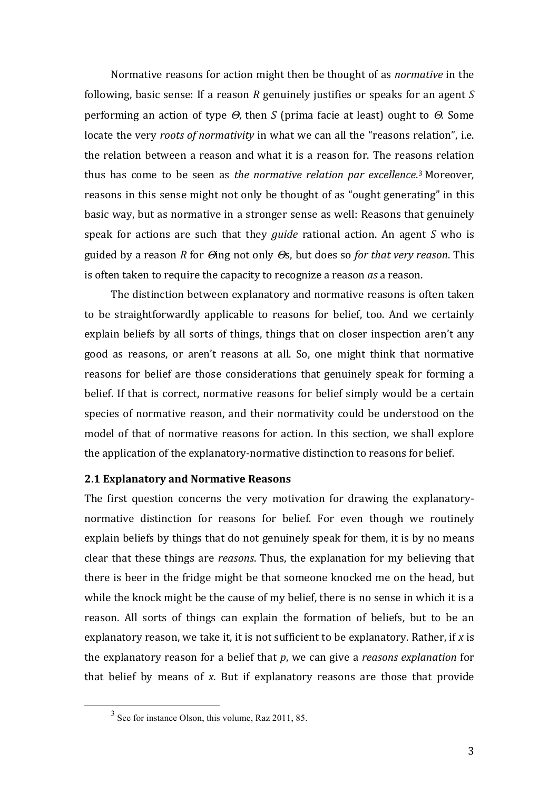Normative reasons for action might then be thought of as *normative* in the following, basic sense: If a reason  $R$  genuinely justifies or speaks for an agent  $S$ performing an action of type  $\Theta$ , then *S* (prima facie at least) ought to  $\Theta$ . Some locate the very *roots of normativity* in what we can all the "reasons relation", i.e. the relation between a reason and what it is a reason for. The reasons relation thus has come to be seen as *the normative relation par excellence*.<sup>3</sup> Moreover, reasons in this sense might not only be thought of as "ought generating" in this basic way, but as normative in a stronger sense as well: Reasons that genuinely speak for actions are such that they *guide* rational action. An agent *S* who is guided by a reason *R* for *Θ*ing not only *Θ*s, but does so *for that very reason*. This is often taken to require the capacity to recognize a reason *as* a reason.

The distinction between explanatory and normative reasons is often taken to be straightforwardly applicable to reasons for belief, too. And we certainly explain beliefs by all sorts of things, things that on closer inspection aren't any good as reasons, or aren't reasons at all. So, one might think that normative reasons for belief are those considerations that genuinely speak for forming a belief. If that is correct, normative reasons for belief simply would be a certain species of normative reason, and their normativity could be understood on the model of that of normative reasons for action. In this section, we shall explore the application of the explanatory-normative distinction to reasons for belief.

# **2.1 Explanatory and Normative Reasons**

The first question concerns the very motivation for drawing the explanatorynormative distinction for reasons for belief. For even though we routinely explain beliefs by things that do not genuinely speak for them, it is by no means clear that these things are *reasons*. Thus, the explanation for my believing that there is beer in the fridge might be that someone knocked me on the head, but while the knock might be the cause of my belief, there is no sense in which it is a reason. All sorts of things can explain the formation of beliefs, but to be an explanatory reason, we take it, it is not sufficient to be explanatory. Rather, if x is the explanatory reason for a belief that *p*, we can give a *reasons explanation* for that belief by means of x. But if explanatory reasons are those that provide

 <sup>3</sup> See for instance Olson, this volume, Raz 2011, 85.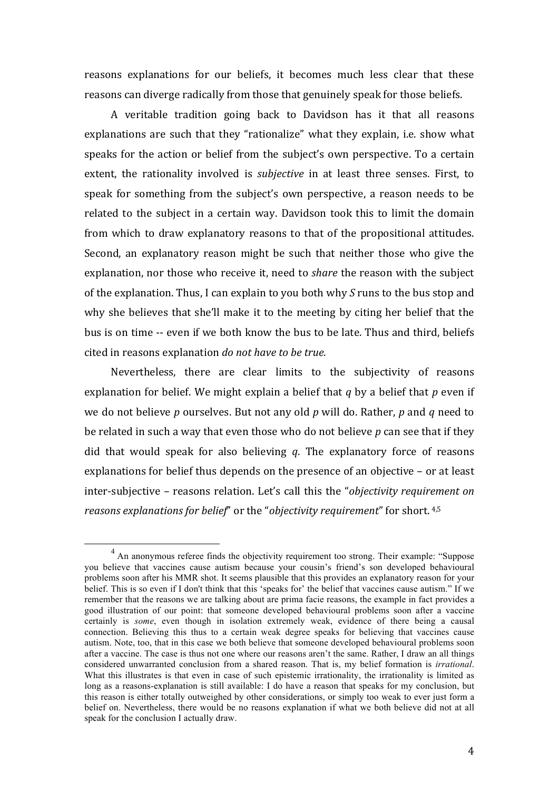reasons explanations for our beliefs, it becomes much less clear that these reasons can diverge radically from those that genuinely speak for those beliefs.

A veritable tradition going back to Davidson has it that all reasons explanations are such that they "rationalize" what they explain, i.e. show what speaks for the action or belief from the subject's own perspective. To a certain extent, the rationality involved is *subjective* in at least three senses. First, to speak for something from the subject's own perspective, a reason needs to be related to the subject in a certain way. Davidson took this to limit the domain from which to draw explanatory reasons to that of the propositional attitudes. Second, an explanatory reason might be such that neither those who give the explanation, nor those who receive it, need to *share* the reason with the subject of the explanation. Thus, I can explain to you both why S runs to the bus stop and why she believes that she'll make it to the meeting by citing her belief that the bus is on time -- even if we both know the bus to be late. Thus and third, beliefs cited in reasons explanation *do not have to be true*.

Nevertheless, there are clear limits to the subjectivity of reasons explanation for belief. We might explain a belief that *q* by a belief that *p* even if we do not believe *p* ourselves. But not any old *p* will do. Rather, *p* and *q* need to be related in such a way that even those who do not believe  $p$  can see that if they did that would speak for also believing  $q$ . The explanatory force of reasons explanations for belief thus depends on the presence of an objective  $-$  or at least inter-subjective – reasons relation. Let's call this the "*objectivity requirement on reasons explanations for belief*" or the "*objectivity requirement*" for short. 4,5

<sup>&</sup>lt;sup>4</sup> An anonymous referee finds the objectivity requirement too strong. Their example: "Suppose you believe that vaccines cause autism because your cousin's friend's son developed behavioural problems soon after his MMR shot. It seems plausible that this provides an explanatory reason for your belief. This is so even if I don't think that this 'speaks for' the belief that vaccines cause autism." If we remember that the reasons we are talking about are prima facie reasons, the example in fact provides a good illustration of our point: that someone developed behavioural problems soon after a vaccine certainly is *some*, even though in isolation extremely weak, evidence of there being a causal connection. Believing this thus to a certain weak degree speaks for believing that vaccines cause autism. Note, too, that in this case we both believe that someone developed behavioural problems soon after a vaccine. The case is thus not one where our reasons aren't the same. Rather, I draw an all things considered unwarranted conclusion from a shared reason. That is, my belief formation is *irrational*. What this illustrates is that even in case of such epistemic irrationality, the irrationality is limited as long as a reasons-explanation is still available: I do have a reason that speaks for my conclusion, but this reason is either totally outweighed by other considerations, or simply too weak to ever just form a belief on. Nevertheless, there would be no reasons explanation if what we both believe did not at all speak for the conclusion I actually draw.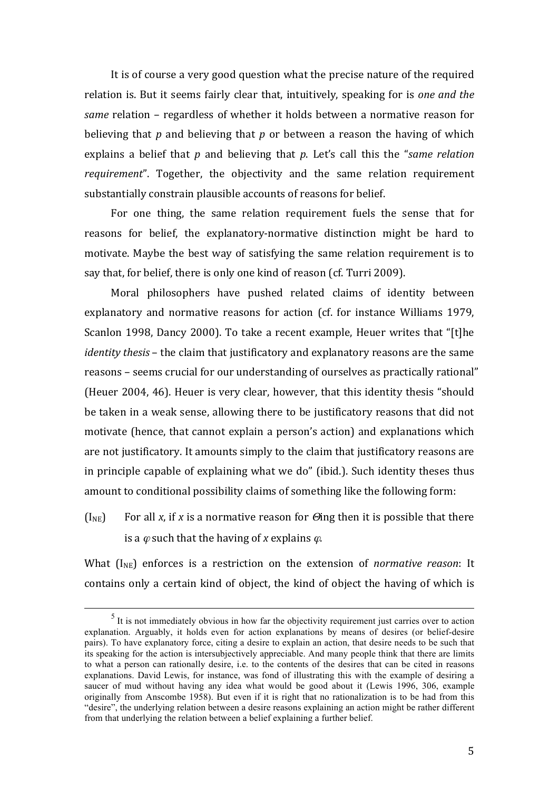It is of course a very good question what the precise nature of the required relation is. But it seems fairly clear that, intuitively, speaking for is *one and the same* relation – regardless of whether it holds between a normative reason for believing that  $p$  and believing that  $p$  or between a reason the having of which explains a belief that  $p$  and believing that  $p$ . Let's call this the "*same relation requirement*". Together, the objectivity and the same relation requirement substantially constrain plausible accounts of reasons for belief.

For one thing, the same relation requirement fuels the sense that for reasons for belief, the explanatory-normative distinction might be hard to motivate. Maybe the best way of satisfying the same relation requirement is to say that, for belief, there is only one kind of reason (cf. Turri 2009).

Moral philosophers have pushed related claims of identity between explanatory and normative reasons for action (cf. for instance Williams 1979, Scanlon 1998, Dancy 2000). To take a recent example, Heuer writes that "[t]he *identity thesis* – the claim that justificatory and explanatory reasons are the same reasons – seems crucial for our understanding of ourselves as practically rational" (Heuer 2004, 46). Heuer is very clear, however, that this identity thesis "should be taken in a weak sense, allowing there to be justificatory reasons that did not motivate (hence, that cannot explain a person's action) and explanations which are not justificatory. It amounts simply to the claim that justificatory reasons are in principle capable of explaining what we do" (ibid.). Such identity theses thus amount to conditional possibility claims of something like the following form:

 $(I_{NE})$  For all *x*, if *x* is a normative reason for  $\Theta$ ing then it is possible that there is a  $\varphi$  such that the having of *x* explains  $\varphi$ .

What (I<sub>NE</sub>) enforces is a restriction on the extension of *normative reason*: It contains only a certain kind of object, the kind of object the having of which is

 $<sup>5</sup>$  It is not immediately obvious in how far the objectivity requirement just carries over to action</sup> explanation. Arguably, it holds even for action explanations by means of desires (or belief-desire pairs). To have explanatory force, citing a desire to explain an action, that desire needs to be such that its speaking for the action is intersubjectively appreciable. And many people think that there are limits to what a person can rationally desire, i.e. to the contents of the desires that can be cited in reasons explanations. David Lewis, for instance, was fond of illustrating this with the example of desiring a saucer of mud without having any idea what would be good about it (Lewis 1996, 306, example originally from Anscombe 1958). But even if it is right that no rationalization is to be had from this "desire", the underlying relation between a desire reasons explaining an action might be rather different from that underlying the relation between a belief explaining a further belief.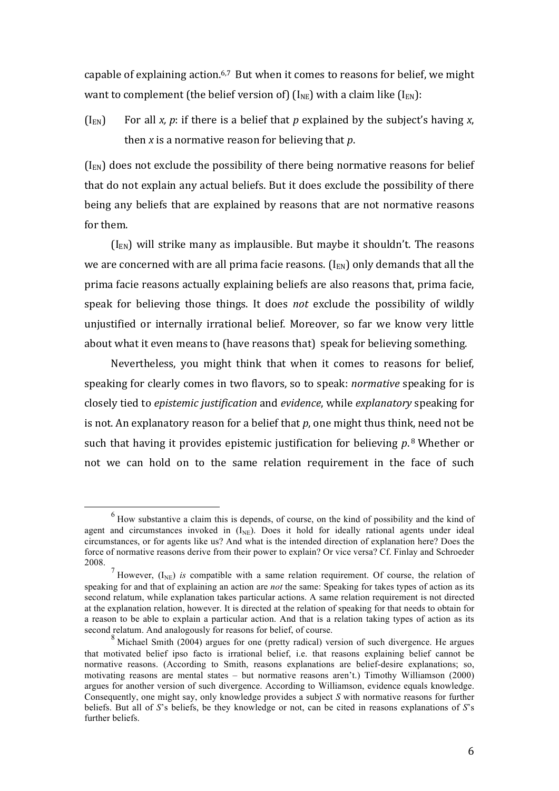capable of explaining action.<sup>6,7</sup> But when it comes to reasons for belief, we might want to complement (the belief version of) ( $I_{NE}$ ) with a claim like ( $I_{EN}$ ):

(I<sub>EN</sub>) For all *x*, *p*: if there is a belief that *p* explained by the subject's having *x*, then  $x$  is a normative reason for believing that  $p$ .

 $(I<sub>EN</sub>)$  does not exclude the possibility of there being normative reasons for belief that do not explain any actual beliefs. But it does exclude the possibility of there being any beliefs that are explained by reasons that are not normative reasons for them.

 $(I_{EN})$  will strike many as implausible. But maybe it shouldn't. The reasons we are concerned with are all prima facie reasons.  $(I_{EN})$  only demands that all the prima facie reasons actually explaining beliefs are also reasons that, prima facie, speak for believing those things. It does *not* exclude the possibility of wildly unjustified or internally irrational belief. Moreover, so far we know very little about what it even means to (have reasons that) speak for believing something.

Nevertheless, you might think that when it comes to reasons for belief, speaking for clearly comes in two flavors, so to speak: *normative* speaking for is closely tied to *epistemic justification* and *evidence*, while *explanatory* speaking for is not. An explanatory reason for a belief that  $p$ , one might thus think, need not be such that having it provides epistemic justification for believing p.<sup>8</sup> Whether or not we can hold on to the same relation requirement in the face of such

 $<sup>6</sup>$  How substantive a claim this is depends, of course, on the kind of possibility and the kind of</sup> agent and circumstances invoked in  $(I<sub>NE</sub>)$ . Does it hold for ideally rational agents under ideal circumstances, or for agents like us? And what is the intended direction of explanation here? Does the force of normative reasons derive from their power to explain? Or vice versa? Cf. Finlay and Schroeder 2008.

 $<sup>7</sup>$  However, (I<sub>NE</sub>) *is* compatible with a same relation requirement. Of course, the relation of</sup> speaking for and that of explaining an action are *not* the same: Speaking for takes types of action as its second relatum, while explanation takes particular actions. A same relation requirement is not directed at the explanation relation, however. It is directed at the relation of speaking for that needs to obtain for a reason to be able to explain a particular action. And that is a relation taking types of action as its second relatum. And analogously for reasons for belief, of course.

 $8$  Michael Smith (2004) argues for one (pretty radical) version of such divergence. He argues that motivated belief ipso facto is irrational belief, i.e. that reasons explaining belief cannot be normative reasons. (According to Smith, reasons explanations are belief-desire explanations; so, motivating reasons are mental states – but normative reasons aren't.) Timothy Williamson (2000) argues for another version of such divergence. According to Williamson, evidence equals knowledge. Consequently, one might say, only knowledge provides a subject *S* with normative reasons for further beliefs. But all of *S*'s beliefs, be they knowledge or not, can be cited in reasons explanations of *S*'s further beliefs.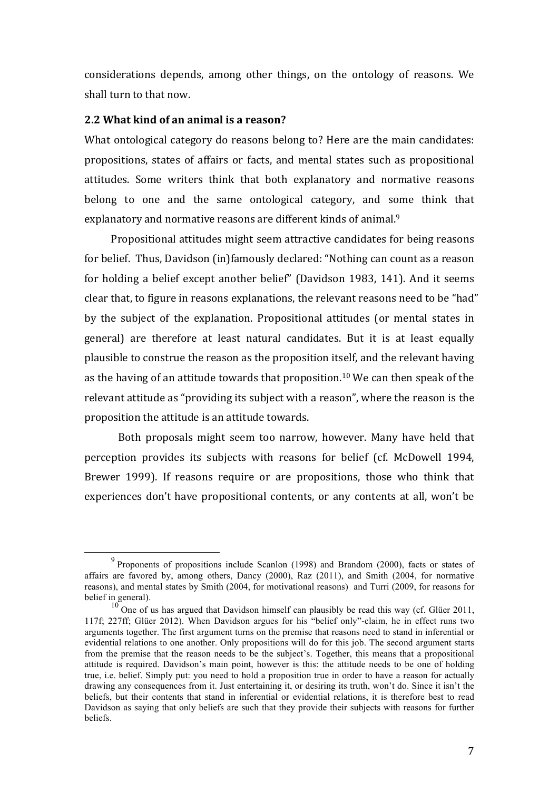considerations depends, among other things, on the ontology of reasons. We shall turn to that now.

## **2.2 What kind of an animal is a reason?**

What ontological category do reasons belong to? Here are the main candidates: propositions, states of affairs or facts, and mental states such as propositional attitudes. Some writers think that both explanatory and normative reasons belong to one and the same ontological category, and some think that explanatory and normative reasons are different kinds of animal.<sup>9</sup>

Propositional attitudes might seem attractive candidates for being reasons for belief. Thus, Davidson (in)famously declared: "Nothing can count as a reason for holding a belief except another belief" (Davidson 1983, 141). And it seems clear that, to figure in reasons explanations, the relevant reasons need to be "had" by the subject of the explanation. Propositional attitudes (or mental states in general) are therefore at least natural candidates. But it is at least equally plausible to construe the reason as the proposition itself, and the relevant having as the having of an attitude towards that proposition.<sup>10</sup> We can then speak of the relevant attitude as "providing its subject with a reason", where the reason is the proposition the attitude is an attitude towards.

Both proposals might seem too narrow, however. Many have held that perception provides its subjects with reasons for belief (cf. McDowell 1994, Brewer 1999). If reasons require or are propositions, those who think that experiences don't have propositional contents, or any contents at all, won't be

 <sup>9</sup> Proponents of propositions include Scanlon (1998) and Brandom (2000), facts or states of affairs are favored by, among others, Dancy (2000), Raz (2011), and Smith (2004, for normative reasons), and mental states by Smith (2004, for motivational reasons) and Turri (2009, for reasons for belief in general).

 $10$  One of us has argued that Davidson himself can plausibly be read this way (cf. Glüer 2011, 117f; 227ff; Glüer 2012). When Davidson argues for his "belief only"-claim, he in effect runs two arguments together. The first argument turns on the premise that reasons need to stand in inferential or evidential relations to one another. Only propositions will do for this job. The second argument starts from the premise that the reason needs to be the subject's. Together, this means that a propositional attitude is required. Davidson's main point, however is this: the attitude needs to be one of holding true, i.e. belief. Simply put: you need to hold a proposition true in order to have a reason for actually drawing any consequences from it. Just entertaining it, or desiring its truth, won't do. Since it isn't the beliefs, but their contents that stand in inferential or evidential relations, it is therefore best to read Davidson as saying that only beliefs are such that they provide their subjects with reasons for further beliefs.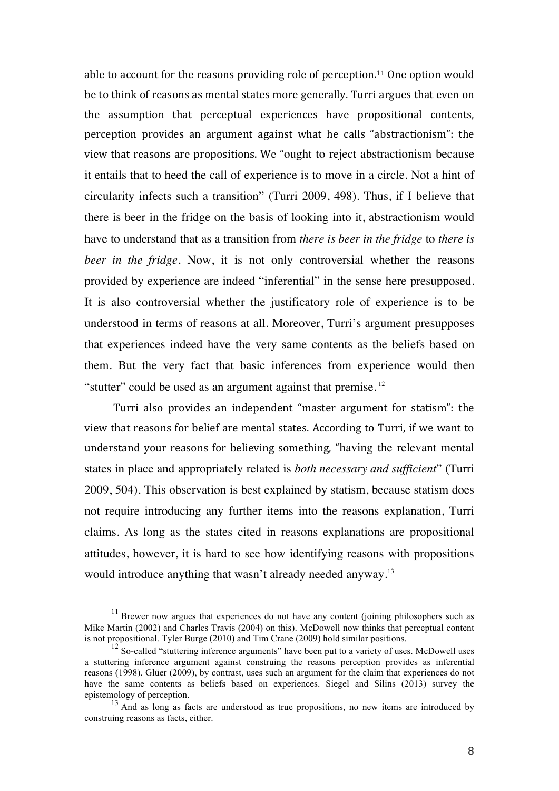able to account for the reasons providing role of perception.<sup>11</sup> One option would be to think of reasons as mental states more generally. Turri argues that even on the assumption that perceptual experiences have propositional contents, perception provides an argument against what he calls "abstractionism": the view that reasons are propositions. We "ought to reject abstractionism because it entails that to heed the call of experience is to move in a circle. Not a hint of circularity infects such a transition" (Turri 2009, 498). Thus, if I believe that there is beer in the fridge on the basis of looking into it, abstractionism would have to understand that as a transition from *there is beer in the fridge* to *there is beer in the fridge*. Now, it is not only controversial whether the reasons provided by experience are indeed "inferential" in the sense here presupposed. It is also controversial whether the justificatory role of experience is to be understood in terms of reasons at all. Moreover, Turri's argument presupposes that experiences indeed have the very same contents as the beliefs based on them. But the very fact that basic inferences from experience would then "stutter" could be used as an argument against that premise. $12$ 

Turri also provides an independent "master argument for statism": the view that reasons for belief are mental states. According to Turri, if we want to understand your reasons for believing something, "having the relevant mental states in place and appropriately related is *both necessary and sufficient*" (Turri 2009, 504). This observation is best explained by statism, because statism does not require introducing any further items into the reasons explanation, Turri claims. As long as the states cited in reasons explanations are propositional attitudes, however, it is hard to see how identifying reasons with propositions would introduce anything that wasn't already needed anyway.<sup>13</sup>

 $11$  Brewer now argues that experiences do not have any content (joining philosophers such as Mike Martin (2002) and Charles Travis (2004) on this). McDowell now thinks that perceptual content is not propositional. Tyler Burge (2010) and Tim Crane (2009) hold similar positions.

<sup>12</sup> So-called "stuttering inference arguments" have been put to a variety of uses. McDowell uses a stuttering inference argument against construing the reasons perception provides as inferential reasons (1998). Glüer (2009), by contrast, uses such an argument for the claim that experiences do not have the same contents as beliefs based on experiences. Siegel and Silins (2013) survey the epistemology of perception.

<sup>&</sup>lt;sup>13</sup> And as long as facts are understood as true propositions, no new items are introduced by construing reasons as facts, either.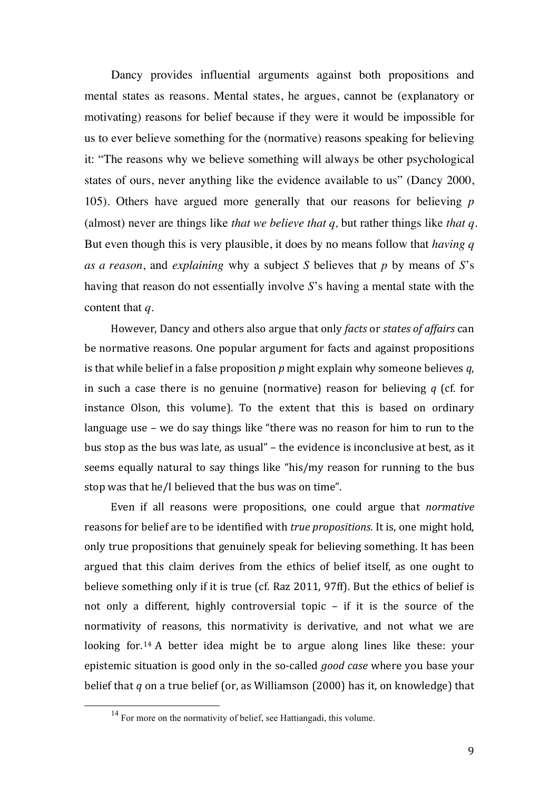Dancy provides influential arguments against both propositions and mental states as reasons. Mental states, he argues, cannot be (explanatory or motivating) reasons for belief because if they were it would be impossible for us to ever believe something for the (normative) reasons speaking for believing it: "The reasons why we believe something will always be other psychological states of ours, never anything like the evidence available to us" (Dancy 2000, 105). Others have argued more generally that our reasons for believing *p* (almost) never are things like *that we believe that q,* but rather things like *that q*. But even though this is very plausible, it does by no means follow that *having q as a reason*, and *explaining* why a subject *S* believes that *p* by means of *S*'s having that reason do not essentially involve *S*'s having a mental state with the content that *q*.

However, Dancy and others also argue that only *facts* or *states of affairs* can be normative reasons. One popular argument for facts and against propositions is that while belief in a false proposition  $p$  might explain why someone believes  $q$ , in such a case there is no genuine (normative) reason for believing  $q$  (cf. for instance Olson, this volume). To the extent that this is based on ordinary language use  $-$  we do say things like "there was no reason for him to run to the bus stop as the bus was late, as usual" – the evidence is inconclusive at best, as it seems equally natural to say things like "his/my reason for running to the bus stop was that he/I believed that the bus was on time".

Even if all reasons were propositions, one could argue that *normative* reasons for belief are to be identified with *true propositions*. It is, one might hold, only true propositions that genuinely speak for believing something. It has been argued that this claim derives from the ethics of belief itself, as one ought to believe something only if it is true (cf. Raz 2011, 97ff). But the ethics of belief is not only a different, highly controversial topic  $-$  if it is the source of the normativity of reasons, this normativity is derivative, and not what we are looking for.<sup>14</sup> A better idea might be to argue along lines like these: your epistemic situation is good only in the so-called *good case* where you base your belief that  $q$  on a true belief (or, as Williamson (2000) has it, on knowledge) that

<sup>&</sup>lt;sup>14</sup> For more on the normativity of belief, see Hattiangadi, this volume.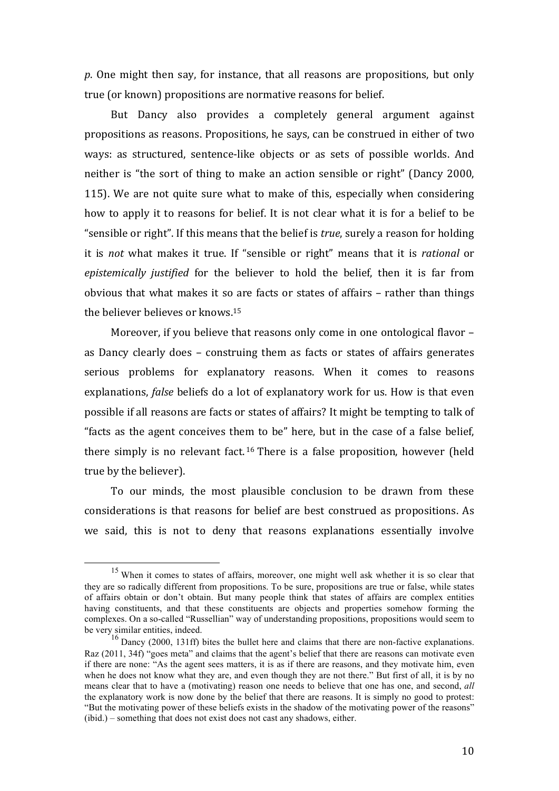*p*. One might then say, for instance, that all reasons are propositions, but only true (or known) propositions are normative reasons for belief.

But Dancy also provides a completely general argument against propositions as reasons. Propositions, he says, can be construed in either of two ways: as structured, sentence-like objects or as sets of possible worlds. And neither is "the sort of thing to make an action sensible or right" (Dancy 2000, 115). We are not quite sure what to make of this, especially when considering how to apply it to reasons for belief. It is not clear what it is for a belief to be "sensible or right". If this means that the belief is *true*, surely a reason for holding it is *not* what makes it true. If "sensible or right" means that it is *rational* or epistemically justified for the believer to hold the belief, then it is far from obvious that what makes it so are facts or states of affairs – rather than things the believer believes or knows.<sup>15</sup>

Moreover, if you believe that reasons only come in one ontological flavor  $$ as Dancy clearly does – construing them as facts or states of affairs generates serious problems for explanatory reasons. When it comes to reasons explanations, *false* beliefs do a lot of explanatory work for us. How is that even possible if all reasons are facts or states of affairs? It might be tempting to talk of "facts as the agent conceives them to be" here, but in the case of a false belief, there simply is no relevant fact.  $16$  There is a false proposition, however (held true by the believer).

To our minds, the most plausible conclusion to be drawn from these considerations is that reasons for belief are best construed as propositions. As we said, this is not to deny that reasons explanations essentially involve

<sup>&</sup>lt;sup>15</sup> When it comes to states of affairs, moreover, one might well ask whether it is so clear that they are so radically different from propositions. To be sure, propositions are true or false, while states of affairs obtain or don't obtain. But many people think that states of affairs are complex entities having constituents, and that these constituents are objects and properties somehow forming the complexes. On a so-called "Russellian" way of understanding propositions, propositions would seem to be very similar entities, indeed.

 $16$  Dancy (2000, 131ff) bites the bullet here and claims that there are non-factive explanations. Raz (2011, 34f) "goes meta" and claims that the agent's belief that there are reasons can motivate even if there are none: "As the agent sees matters, it is as if there are reasons, and they motivate him, even when he does not know what they are, and even though they are not there." But first of all, it is by no means clear that to have a (motivating) reason one needs to believe that one has one, and second, *all* the explanatory work is now done by the belief that there are reasons. It is simply no good to protest: "But the motivating power of these beliefs exists in the shadow of the motivating power of the reasons" (ibid.) – something that does not exist does not cast any shadows, either.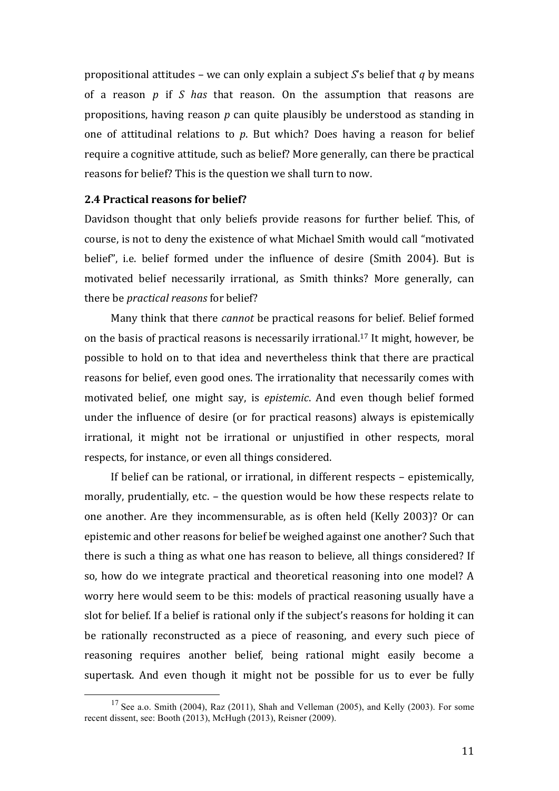propositional attitudes – we can only explain a subject *S*'s belief that *q* by means of a reason *p* if *S* has that reason. On the assumption that reasons are propositions, having reason *p* can quite plausibly be understood as standing in one of attitudinal relations to p. But which? Does having a reason for belief require a cognitive attitude, such as belief? More generally, can there be practical reasons for belief? This is the question we shall turn to now.

## **2.4 Practical reasons for belief?**

Davidson thought that only beliefs provide reasons for further belief. This, of course, is not to deny the existence of what Michael Smith would call "motivated belief", i.e. belief formed under the influence of desire (Smith 2004). But is motivated belief necessarily irrational, as Smith thinks? More generally, can there be *practical reasons* for belief?

Many think that there *cannot* be practical reasons for belief. Belief formed on the basis of practical reasons is necessarily irrational.<sup>17</sup> It might, however, be possible to hold on to that idea and nevertheless think that there are practical reasons for belief, even good ones. The irrationality that necessarily comes with motivated belief, one might say, is *epistemic*. And even though belief formed under the influence of desire (or for practical reasons) always is epistemically irrational, it might not be irrational or unjustified in other respects, moral respects, for instance, or even all things considered.

If belief can be rational, or irrational, in different respects  $-$  epistemically, morally, prudentially, etc. - the question would be how these respects relate to one another. Are they incommensurable, as is often held (Kelly 2003)? Or can epistemic and other reasons for belief be weighed against one another? Such that there is such a thing as what one has reason to believe, all things considered? If so, how do we integrate practical and theoretical reasoning into one model? A worry here would seem to be this: models of practical reasoning usually have a slot for belief. If a belief is rational only if the subject's reasons for holding it can be rationally reconstructed as a piece of reasoning, and every such piece of reasoning requires another belief, being rational might easily become a supertask. And even though it might not be possible for us to ever be fully

 $17$  See a.o. Smith (2004), Raz (2011), Shah and Velleman (2005), and Kelly (2003). For some recent dissent, see: Booth (2013), McHugh (2013), Reisner (2009).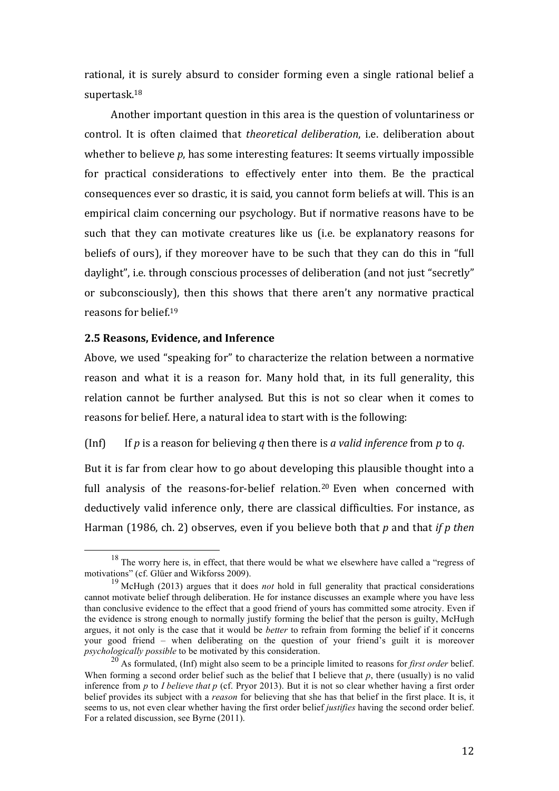rational, it is surely absurd to consider forming even a single rational belief a supertask.18

Another important question in this area is the question of voluntariness or control. It is often claimed that *theoretical deliberation*, *i.e.* deliberation about whether to believe  $p$ , has some interesting features: It seems virtually impossible for practical considerations to effectively enter into them. Be the practical consequences ever so drastic, it is said, you cannot form beliefs at will. This is an empirical claim concerning our psychology. But if normative reasons have to be such that they can motivate creatures like us (i.e. be explanatory reasons for beliefs of ours), if they moreover have to be such that they can do this in "full daylight", i.e. through conscious processes of deliberation (and not just "secretly" or subconsciously), then this shows that there aren't any normative practical reasons for belief. $19$ 

#### **2.5 Reasons, Evidence, and Inference**

Above, we used "speaking for" to characterize the relation between a normative reason and what it is a reason for. Many hold that, in its full generality, this relation cannot be further analysed. But this is not so clear when it comes to reasons for belief. Here, a natural idea to start with is the following:

(Inf) If *p* is a reason for believing *q* then there is *a* valid inference from *p* to *q*.

But it is far from clear how to go about developing this plausible thought into a full analysis of the reasons-for-belief relation.<sup>20</sup> Even when concerned with deductively valid inference only, there are classical difficulties. For instance, as Harman (1986, ch. 2) observes, even if you believe both that  $p$  and that *if*  $p$  then

<sup>&</sup>lt;sup>18</sup> The worry here is, in effect, that there would be what we elsewhere have called a "regress of motivations" (cf. Glüer and Wikforss 2009).

<sup>19</sup> McHugh (2013) argues that it does *not* hold in full generality that practical considerations cannot motivate belief through deliberation. He for instance discusses an example where you have less than conclusive evidence to the effect that a good friend of yours has committed some atrocity. Even if the evidence is strong enough to normally justify forming the belief that the person is guilty, McHugh argues, it not only is the case that it would be *better* to refrain from forming the belief if it concerns your good friend – when deliberating on the question of your friend's guilt it is moreover *psychologically possible* to be motivated by this consideration.

<sup>20</sup> As formulated, (Inf) might also seem to be a principle limited to reasons for *first order* belief. When forming a second order belief such as the belief that I believe that *p*, there (usually) is no valid inference from *p* to *I believe that p* (cf. Pryor 2013). But it is not so clear whether having a first order belief provides its subject with a *reason* for believing that she has that belief in the first place. It is, it seems to us, not even clear whether having the first order belief *justifies* having the second order belief. For a related discussion, see Byrne (2011).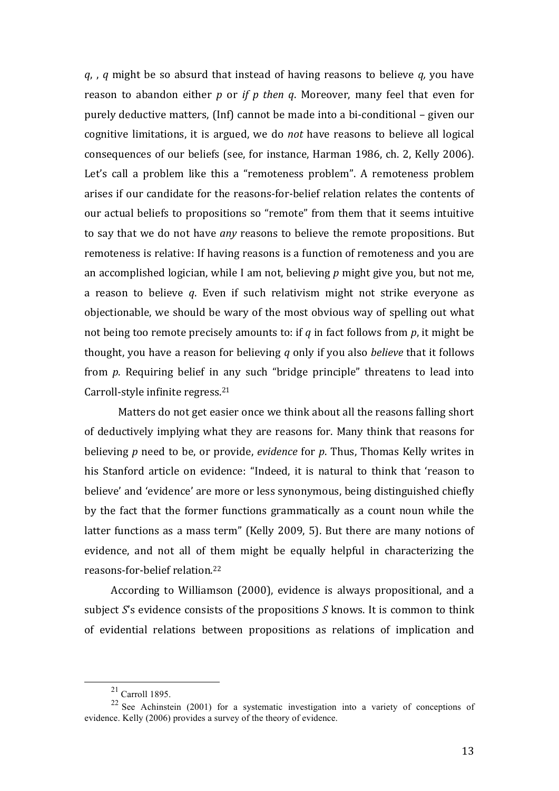*q*, *, q* might be so absurd that instead of having reasons to believe *q*, you have reason to abandon either p or if p then q. Moreover, many feel that even for purely deductive matters, (Inf) cannot be made into a bi-conditional - given our cognitive limitations, it is argued, we do *not* have reasons to believe all logical consequences of our beliefs (see, for instance, Harman 1986, ch. 2, Kelly 2006). Let's call a problem like this a "remoteness problem". A remoteness problem arises if our candidate for the reasons-for-belief relation relates the contents of our actual beliefs to propositions so "remote" from them that it seems intuitive to say that we do not have *any* reasons to believe the remote propositions. But remoteness is relative: If having reasons is a function of remoteness and you are an accomplished logician, while I am not, believing  $p$  might give you, but not me, a reason to believe *q*. Even if such relativism might not strike everyone as objectionable, we should be wary of the most obvious way of spelling out what not being too remote precisely amounts to: if  $q$  in fact follows from  $p$ , it might be thought, you have a reason for believing q only if you also *believe* that it follows from p. Requiring belief in any such "bridge principle" threatens to lead into Carroll-style infinite regress. $21$ 

Matters do not get easier once we think about all the reasons falling short of deductively implying what they are reasons for. Many think that reasons for believing *p* need to be, or provide, *evidence* for *p*. Thus, Thomas Kelly writes in his Stanford article on evidence: "Indeed, it is natural to think that 'reason to believe' and 'evidence' are more or less synonymous, being distinguished chiefly by the fact that the former functions grammatically as a count noun while the latter functions as a mass term" (Kelly 2009, 5). But there are many notions of evidence, and not all of them might be equally helpful in characterizing the reasons-for-belief relation.<sup>22</sup>

According to Williamson (2000), evidence is always propositional, and a subject *S*'s evidence consists of the propositions *S* knows. It is common to think of evidential relations between propositions as relations of implication and

 $21$  Carroll 1895.

<sup>&</sup>lt;sup>22</sup> See Achinstein (2001) for a systematic investigation into a variety of conceptions of evidence. Kelly (2006) provides a survey of the theory of evidence.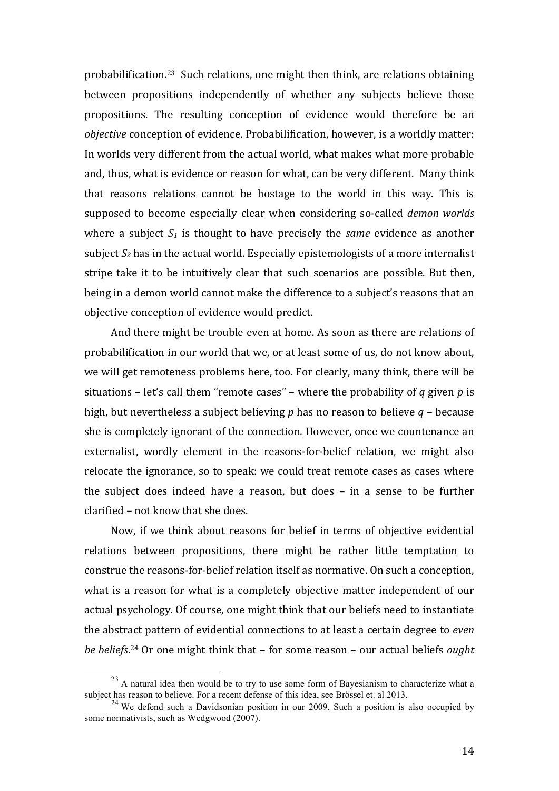probabilification.<sup>23</sup> Such relations, one might then think, are relations obtaining between propositions independently of whether any subjects believe those propositions. The resulting conception of evidence would therefore be an *objective* conception of evidence. Probabilification, however, is a worldly matter: In worlds very different from the actual world, what makes what more probable and, thus, what is evidence or reason for what, can be very different. Many think that reasons relations cannot be hostage to the world in this way. This is supposed to become especially clear when considering so-called *demon worlds* where a subject  $S_1$  is thought to have precisely the *same* evidence as another subject  $S_2$  has in the actual world. Especially epistemologists of a more internalist stripe take it to be intuitively clear that such scenarios are possible. But then, being in a demon world cannot make the difference to a subject's reasons that an objective conception of evidence would predict.

And there might be trouble even at home. As soon as there are relations of probabilification in our world that we, or at least some of us, do not know about, we will get remoteness problems here, too. For clearly, many think, there will be situations – let's call them "remote cases" – where the probability of  $q$  given  $p$  is high, but nevertheless a subject believing  $p$  has no reason to believe  $q$  – because she is completely ignorant of the connection. However, once we countenance an externalist, wordly element in the reasons-for-belief relation, we might also relocate the ignorance, so to speak: we could treat remote cases as cases where the subject does indeed have a reason, but does  $-$  in a sense to be further clarified – not know that she does.

Now, if we think about reasons for belief in terms of objective evidential relations between propositions, there might be rather little temptation to construe the reasons-for-belief relation itself as normative. On such a conception, what is a reason for what is a completely objective matter independent of our actual psychology. Of course, one might think that our beliefs need to instantiate the abstract pattern of evidential connections to at least a certain degree to *even* be beliefs.<sup>24</sup> Or one might think that – for some reason – our actual beliefs *ought* 

 $23$  A natural idea then would be to try to use some form of Bayesianism to characterize what a subject has reason to believe. For a recent defense of this idea, see Brössel et. al 2013.

 $2<sup>4</sup>$  We defend such a Davidsonian position in our 2009. Such a position is also occupied by some normativists, such as Wedgwood (2007).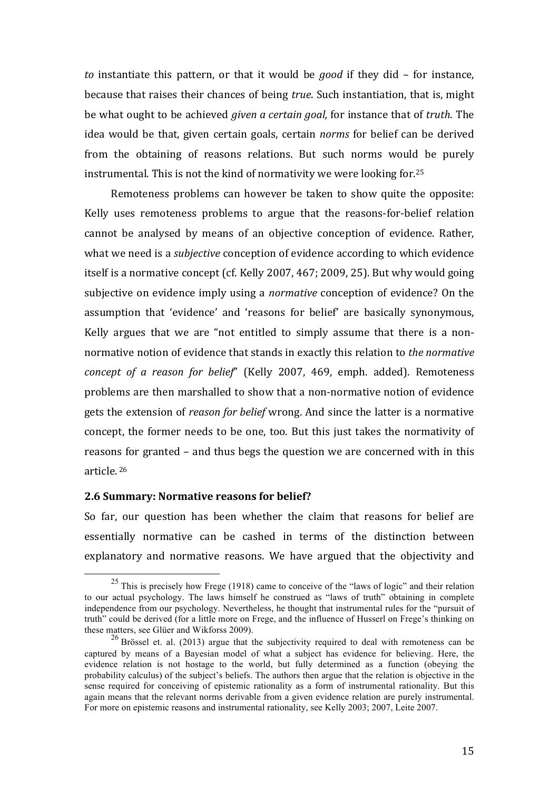*to* instantiate this pattern, or that it would be *good* if they did – for instance, because that raises their chances of being *true*. Such instantiation, that is, might be what ought to be achieved *given a certain goal*, for instance that of *truth*. The idea would be that, given certain goals, certain *norms* for belief can be derived from the obtaining of reasons relations. But such norms would be purely instrumental. This is not the kind of normativity we were looking for.<sup>25</sup>

Remoteness problems can however be taken to show quite the opposite: Kelly uses remoteness problems to argue that the reasons-for-belief relation cannot be analysed by means of an objective conception of evidence. Rather, what we need is a *subjective* conception of evidence according to which evidence itself is a normative concept (cf. Kelly 2007, 467; 2009, 25). But why would going subjective on evidence imply using a *normative* conception of evidence? On the assumption that 'evidence' and 'reasons for belief' are basically synonymous, Kelly argues that we are "not entitled to simply assume that there is a nonnormative notion of evidence that stands in exactly this relation to *the normative concept of a reason for belief*" (Kelly 2007, 469, emph. added). Remoteness problems are then marshalled to show that a non-normative notion of evidence gets the extension of *reason for belief* wrong. And since the latter is a normative concept, the former needs to be one, too. But this just takes the normativity of reasons for granted – and thus begs the question we are concerned with in this article. <sup>26</sup>

#### **2.6 Summary: Normative reasons for belief?**

So far, our question has been whether the claim that reasons for belief are essentially normative can be cashed in terms of the distinction between explanatory and normative reasons. We have argued that the objectivity and

 $25$  This is precisely how Frege (1918) came to conceive of the "laws of logic" and their relation to our actual psychology. The laws himself he construed as "laws of truth" obtaining in complete independence from our psychology. Nevertheless, he thought that instrumental rules for the "pursuit of truth" could be derived (for a little more on Frege, and the influence of Husserl on Frege's thinking on these matters, see Glüer and Wikforss 2009).

 $^{26}$  Brössel et. al. (2013) argue that the subjectivity required to deal with remoteness can be captured by means of a Bayesian model of what a subject has evidence for believing. Here, the evidence relation is not hostage to the world, but fully determined as a function (obeying the probability calculus) of the subject's beliefs. The authors then argue that the relation is objective in the sense required for conceiving of epistemic rationality as a form of instrumental rationality. But this again means that the relevant norms derivable from a given evidence relation are purely instrumental. For more on epistemic reasons and instrumental rationality, see Kelly 2003; 2007, Leite 2007.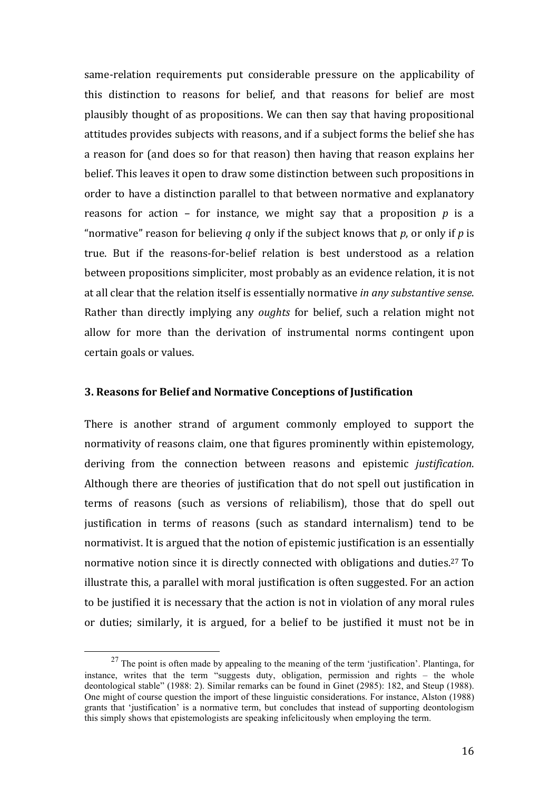same-relation requirements put considerable pressure on the applicability of this distinction to reasons for belief, and that reasons for belief are most plausibly thought of as propositions. We can then say that having propositional attitudes provides subjects with reasons, and if a subject forms the belief she has a reason for (and does so for that reason) then having that reason explains her belief. This leaves it open to draw some distinction between such propositions in order to have a distinction parallel to that between normative and explanatory reasons for action – for instance, we might say that a proposition  $p$  is a "normative" reason for believing q only if the subject knows that  $p$ , or only if  $p$  is true. But if the reasons-for-belief relation is best understood as a relation between propositions simpliciter, most probably as an evidence relation, it is not at all clear that the relation itself is essentially normative *in any substantive sense*. Rather than directly implying any *oughts* for belief, such a relation might not allow for more than the derivation of instrumental norms contingent upon certain goals or values.

#### **3. Reasons for Belief and Normative Conceptions of Justification**

There is another strand of argument commonly employed to support the normativity of reasons claim, one that figures prominently within epistemology, deriving from the connection between reasons and epistemic *justification*. Although there are theories of justification that do not spell out justification in terms of reasons (such as versions of reliabilism), those that do spell out justification in terms of reasons (such as standard internalism) tend to be normativist. It is argued that the notion of epistemic justification is an essentially normative notion since it is directly connected with obligations and duties.<sup>27</sup> To illustrate this, a parallel with moral justification is often suggested. For an action to be justified it is necessary that the action is not in violation of any moral rules or duties; similarly, it is argued, for a belief to be justified it must not be in

 $27$  The point is often made by appealing to the meaning of the term 'justification'. Plantinga, for instance, writes that the term "suggests duty, obligation, permission and rights – the whole deontological stable" (1988: 2). Similar remarks can be found in Ginet (2985): 182, and Steup (1988). One might of course question the import of these linguistic considerations. For instance, Alston (1988) grants that 'justification' is a normative term, but concludes that instead of supporting deontologism this simply shows that epistemologists are speaking infelicitously when employing the term.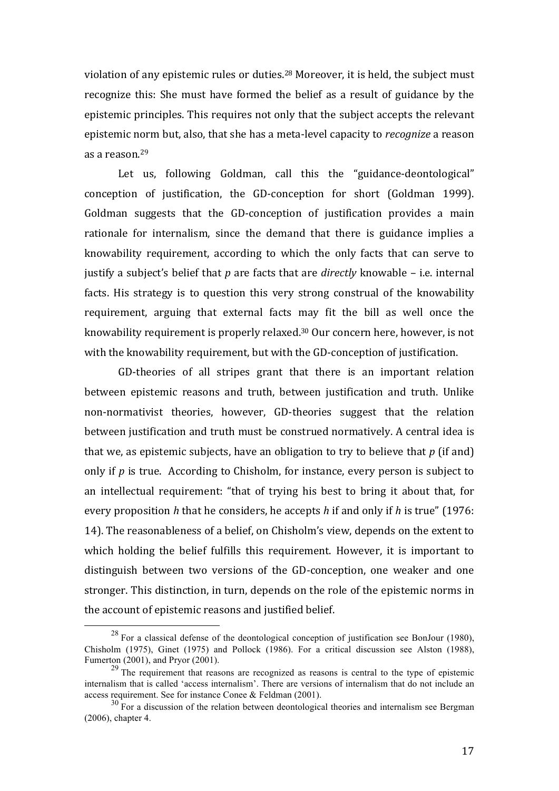violation of any epistemic rules or duties.<sup>28</sup> Moreover, it is held, the subject must recognize this: She must have formed the belief as a result of guidance by the epistemic principles. This requires not only that the subject accepts the relevant epistemic norm but, also, that she has a meta-level capacity to *recognize* a reason as a reason. $29$ 

Let us, following Goldman, call this the "guidance-deontological" conception of justification, the GD-conception for short (Goldman 1999). Goldman suggests that the GD-conception of justification provides a main rationale for internalism, since the demand that there is guidance implies a knowability requirement, according to which the only facts that can serve to justify a subject's belief that *p* are facts that are *directly* knowable – i.e. internal facts. His strategy is to question this very strong construal of the knowability requirement, arguing that external facts may fit the bill as well once the knowability requirement is properly relaxed.<sup>30</sup> Our concern here, however, is not with the knowability requirement, but with the GD-conception of justification.

GD-theories of all stripes grant that there is an important relation between epistemic reasons and truth, between justification and truth. Unlike non-normativist theories, however, GD-theories suggest that the relation between justification and truth must be construed normatively. A central idea is that we, as epistemic subjects, have an obligation to try to believe that  $p$  (if and) only if  $p$  is true. According to Chisholm, for instance, every person is subject to an intellectual requirement: "that of trying his best to bring it about that, for every proposition *h* that he considers, he accepts *h* if and only if *h* is true" (1976: 14). The reasonableness of a belief, on Chisholm's view, depends on the extent to which holding the belief fulfills this requirement. However, it is important to distinguish between two versions of the GD-conception, one weaker and one stronger. This distinction, in turn, depends on the role of the epistemic norms in the account of epistemic reasons and justified belief.

 $^{28}$  For a classical defense of the deontological conception of justification see BonJour (1980), Chisholm (1975), Ginet (1975) and Pollock (1986). For a critical discussion see Alston (1988), Fumerton (2001), and Pryor (2001).

 $29$  The requirement that reasons are recognized as reasons is central to the type of epistemic internalism that is called 'access internalism'. There are versions of internalism that do not include an access requirement. See for instance Conee & Feldman (2001).

 $30<sup>1</sup>$  For a discussion of the relation between deontological theories and internalism see Bergman (2006), chapter 4.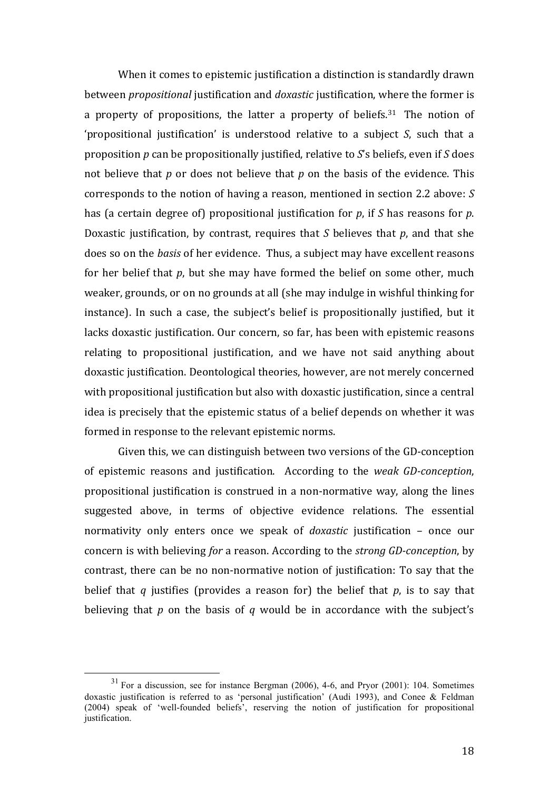When it comes to epistemic justification a distinction is standardly drawn between *propositional* justification and *doxastic* justification, where the former is a property of propositions, the latter a property of beliefs.<sup>31</sup> The notion of 'propositional justification' is understood relative to a subject *S*, such that a proposition *p* can be propositionally justified, relative to *S*'s beliefs, even if *S* does not believe that *p* or does not believe that *p* on the basis of the evidence. This corresponds to the notion of having a reason, mentioned in section 2.2 above: S has (a certain degree of) propositional justification for *p*, if *S* has reasons for *p*. Doxastic justification, by contrast, requires that  $S$  believes that  $p$ , and that she does so on the *basis* of her evidence. Thus, a subject may have excellent reasons for her belief that  $p$ , but she may have formed the belief on some other, much weaker, grounds, or on no grounds at all (she may indulge in wishful thinking for instance). In such a case, the subject's belief is propositionally justified, but it lacks doxastic justification. Our concern, so far, has been with epistemic reasons relating to propositional justification, and we have not said anything about doxastic justification. Deontological theories, however, are not merely concerned with propositional justification but also with doxastic justification, since a central idea is precisely that the epistemic status of a belief depends on whether it was formed in response to the relevant epistemic norms.

Given this, we can distinguish between two versions of the GD-conception of epistemic reasons and justification. According to the *weak GD-conception*, propositional justification is construed in a non-normative way, along the lines suggested above, in terms of objective evidence relations. The essential normativity only enters once we speak of *doxastic* justification – once our concern is with believing *for* a reason. According to the *strong GD-conception*, by contrast, there can be no non-normative notion of justification: To say that the belief that  $q$  justifies (provides a reason for) the belief that  $p$ , is to say that believing that  $p$  on the basis of  $q$  would be in accordance with the subject's

 <sup>31</sup> For a discussion, see for instance Bergman (2006), 4-6, and Pryor (2001): 104. Sometimes doxastic justification is referred to as 'personal justification' (Audi 1993), and Conee & Feldman (2004) speak of 'well-founded beliefs', reserving the notion of justification for propositional justification.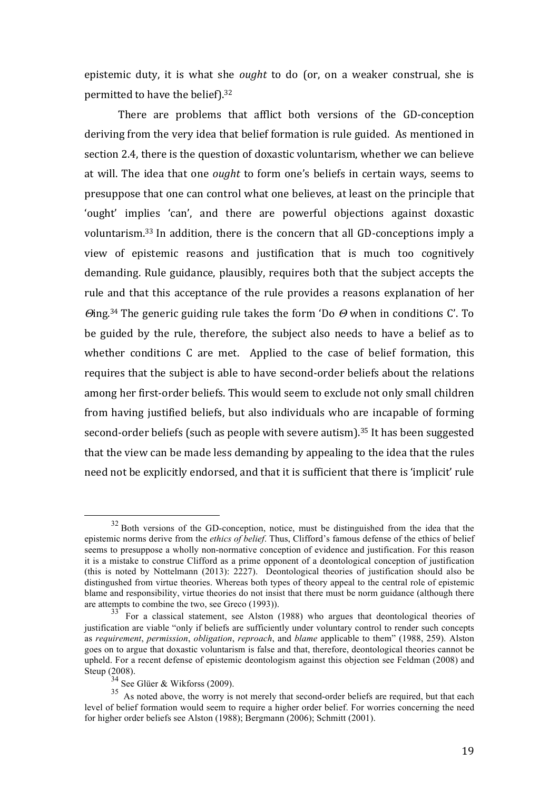epistemic duty, it is what she *ought* to do (or, on a weaker construal, she is permitted to have the belief).<sup>32</sup>

There are problems that afflict both versions of the GD-conception deriving from the very idea that belief formation is rule guided. As mentioned in section 2.4, there is the question of doxastic voluntarism, whether we can believe at will. The idea that one *ought* to form one's beliefs in certain ways, seems to presuppose that one can control what one believes, at least on the principle that 'ought' implies 'can', and there are powerful objections against doxastic voluntarism.<sup>33</sup> In addition, there is the concern that all GD-conceptions imply a view of epistemic reasons and justification that is much too cognitively demanding. Rule guidance, plausibly, requires both that the subject accepts the rule and that this acceptance of the rule provides a reasons explanation of her  $\Theta$ ing.<sup>34</sup> The generic guiding rule takes the form 'Do  $\Theta$  when in conditions C'. To be guided by the rule, therefore, the subject also needs to have a belief as to whether conditions C are met. Applied to the case of belief formation, this requires that the subject is able to have second-order beliefs about the relations among her first-order beliefs. This would seem to exclude not only small children from having justified beliefs, but also individuals who are incapable of forming second-order beliefs (such as people with severe autism).<sup>35</sup> It has been suggested that the view can be made less demanding by appealing to the idea that the rules need not be explicitly endorsed, and that it is sufficient that there is 'implicit' rule

<sup>&</sup>lt;sup>32</sup> Both versions of the GD-conception, notice, must be distinguished from the idea that the epistemic norms derive from the *ethics of belief*. Thus, Clifford's famous defense of the ethics of belief seems to presuppose a wholly non-normative conception of evidence and justification. For this reason it is a mistake to construe Clifford as a prime opponent of a deontological conception of justification (this is noted by Nottelmann (2013): 2227). Deontological theories of justification should also be distingushed from virtue theories. Whereas both types of theory appeal to the central role of epistemic blame and responsibility, virtue theories do not insist that there must be norm guidance (although there are attempts to combine the two, see Greco (1993)).

 $33<sup>33</sup>$  For a classical statement, see Alston (1988) who argues that deontological theories of justification are viable "only if beliefs are sufficiently under voluntary control to render such concepts as *requirement*, *permission*, *obligation*, *reproach*, and *blame* applicable to them" (1988, 259). Alston goes on to argue that doxastic voluntarism is false and that, therefore, deontological theories cannot be upheld. For a recent defense of epistemic deontologism against this objection see Feldman (2008) and Steup (2008).

 $34$  See Glüer & Wikforss (2009).

 $35$  As noted above, the worry is not merely that second-order beliefs are required, but that each level of belief formation would seem to require a higher order belief. For worries concerning the need for higher order beliefs see Alston (1988); Bergmann (2006); Schmitt (2001).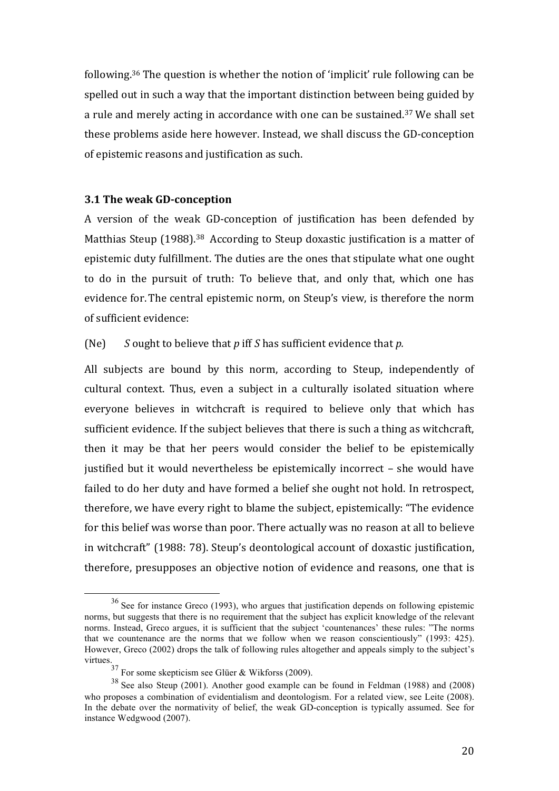following.<sup>36</sup> The question is whether the notion of 'implicit' rule following can be spelled out in such a way that the important distinction between being guided by a rule and merely acting in accordance with one can be sustained.<sup>37</sup> We shall set these problems aside here however. Instead, we shall discuss the GD-conception of epistemic reasons and justification as such.

### **3.1 The weak GD-conception**

A version of the weak GD-conception of justification has been defended by Matthias Steup (1988).<sup>38</sup> According to Steup doxastic justification is a matter of epistemic duty fulfillment. The duties are the ones that stipulate what one ought to do in the pursuit of truth: To believe that, and only that, which one has evidence for. The central epistemic norm, on Steup's view, is therefore the norm of sufficient evidence:

(Ne) S ought to believe that *p* iff *S* has sufficient evidence that *p*.

All subjects are bound by this norm, according to Steup, independently of cultural context. Thus, even a subject in a culturally isolated situation where everyone believes in witchcraft is required to believe only that which has sufficient evidence. If the subject believes that there is such a thing as witchcraft, then it may be that her peers would consider the belief to be epistemically justified but it would nevertheless be epistemically incorrect – she would have failed to do her duty and have formed a belief she ought not hold. In retrospect, therefore, we have every right to blame the subject, epistemically: "The evidence for this belief was worse than poor. There actually was no reason at all to believe in witchcraft" (1988: 78). Steup's deontological account of doxastic justification, therefore, presupposes an objective notion of evidence and reasons, one that is

<sup>&</sup>lt;sup>36</sup> See for instance Greco (1993), who argues that justification depends on following epistemic norms, but suggests that there is no requirement that the subject has explicit knowledge of the relevant norms. Instead, Greco argues, it is sufficient that the subject 'countenances' these rules: "The norms that we countenance are the norms that we follow when we reason conscientiously" (1993: 425). However, Greco (2002) drops the talk of following rules altogether and appeals simply to the subject's virtues.<br> $37$  For some skepticism see Glüer & Wikforss (2009).

 $38$  See also Steup (2001). Another good example can be found in Feldman (1988) and (2008) who proposes a combination of evidentialism and deontologism. For a related view, see Leite (2008). In the debate over the normativity of belief, the weak GD-conception is typically assumed. See for instance Wedgwood (2007).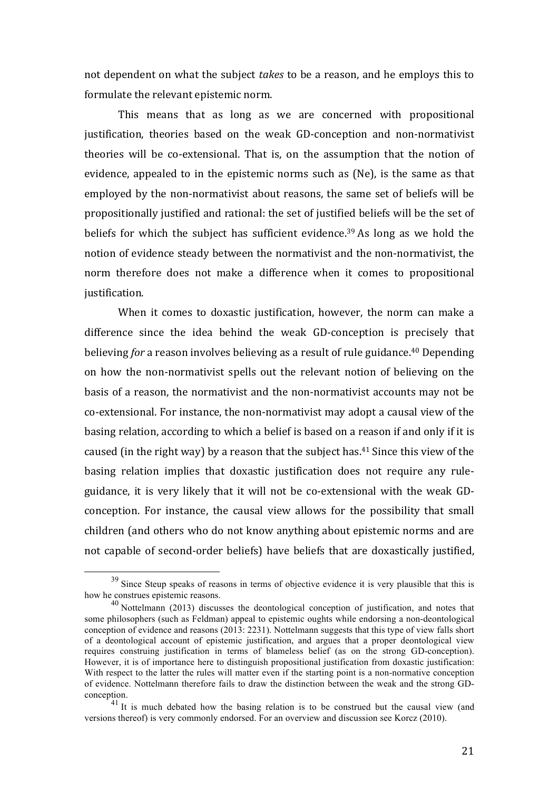not dependent on what the subject *takes* to be a reason, and he employs this to formulate the relevant epistemic norm.

This means that as long as we are concerned with propositional justification, theories based on the weak GD-conception and non-normativist theories will be co-extensional. That is, on the assumption that the notion of evidence, appealed to in the epistemic norms such as (Ne), is the same as that employed by the non-normativist about reasons, the same set of beliefs will be propositionally justified and rational: the set of justified beliefs will be the set of beliefs for which the subject has sufficient evidence.<sup>39</sup> As long as we hold the notion of evidence steady between the normativist and the non-normativist, the norm therefore does not make a difference when it comes to propositional justification.

When it comes to doxastic justification, however, the norm can make a difference since the idea behind the weak GD-conception is precisely that believing *for* a reason involves believing as a result of rule guidance.<sup>40</sup> Depending on how the non-normativist spells out the relevant notion of believing on the basis of a reason, the normativist and the non-normativist accounts may not be co-extensional. For instance, the non-normativist may adopt a causal view of the basing relation, according to which a belief is based on a reason if and only if it is caused (in the right way) by a reason that the subject has.<sup>41</sup> Since this view of the basing relation implies that doxastic justification does not require any ruleguidance, it is very likely that it will not be co-extensional with the weak GDconception. For instance, the causal view allows for the possibility that small children (and others who do not know anything about epistemic norms and are not capable of second-order beliefs) have beliefs that are doxastically justified,

 $39$  Since Steup speaks of reasons in terms of objective evidence it is very plausible that this is how he construes epistemic reasons.

A0 Nottelmann (2013) discusses the deontological conception of justification, and notes that some philosophers (such as Feldman) appeal to epistemic oughts while endorsing a non-deontological conception of evidence and reasons (2013: 2231). Nottelmann suggests that this type of view falls short of a deontological account of epistemic justification, and argues that a proper deontological view requires construing justification in terms of blameless belief (as on the strong GD-conception). However, it is of importance here to distinguish propositional justification from doxastic justification: With respect to the latter the rules will matter even if the starting point is a non-normative conception of evidence. Nottelmann therefore fails to draw the distinction between the weak and the strong GDconception.

<sup>&</sup>lt;sup>41</sup> It is much debated how the basing relation is to be construed but the causal view (and versions thereof) is very commonly endorsed. For an overview and discussion see Korcz (2010).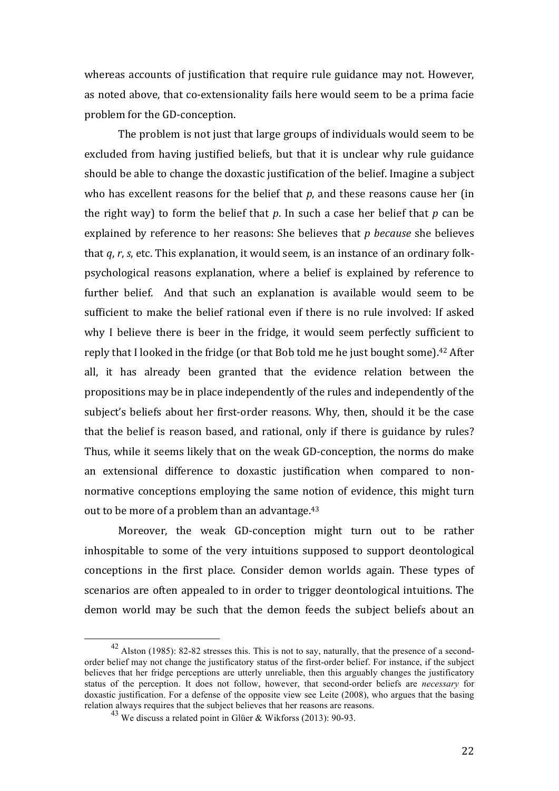whereas accounts of justification that require rule guidance may not. However, as noted above, that co-extensionality fails here would seem to be a prima facie problem for the GD-conception.

The problem is not just that large groups of individuals would seem to be excluded from having justified beliefs, but that it is unclear why rule guidance should be able to change the doxastic justification of the belief. Imagine a subject who has excellent reasons for the belief that  $p$ , and these reasons cause her (in the right way) to form the belief that  $p$ . In such a case her belief that  $p$  can be explained by reference to her reasons: She believes that *p because* she believes that *q*, *r*, *s*, etc. This explanation, it would seem, is an instance of an ordinary folkpsychological reasons explanation, where a belief is explained by reference to further belief. And that such an explanation is available would seem to be sufficient to make the belief rational even if there is no rule involved: If asked why I believe there is beer in the fridge, it would seem perfectly sufficient to reply that I looked in the fridge (or that Bob told me he just bought some).<sup>42</sup> After all, it has already been granted that the evidence relation between the propositions may be in place independently of the rules and independently of the subject's beliefs about her first-order reasons. Why, then, should it be the case that the belief is reason based, and rational, only if there is guidance by rules? Thus, while it seems likely that on the weak GD-conception, the norms do make an extensional difference to doxastic justification when compared to nonnormative conceptions employing the same notion of evidence, this might turn out to be more of a problem than an advantage.<sup>43</sup>

Moreover, the weak GD-conception might turn out to be rather inhospitable to some of the very intuitions supposed to support deontological conceptions in the first place. Consider demon worlds again. These types of scenarios are often appealed to in order to trigger deontological intuitions. The demon world may be such that the demon feeds the subject beliefs about an

 <sup>42</sup> Alston (1985): 82-82 stresses this. This is not to say, naturally, that the presence of a secondorder belief may not change the justificatory status of the first-order belief. For instance, if the subject believes that her fridge perceptions are utterly unreliable, then this arguably changes the justificatory status of the perception. It does not follow, however, that second-order beliefs are *necessary* for doxastic justification. For a defense of the opposite view see Leite (2008), who argues that the basing relation always requires that the subject believes that her reasons are reasons.

<sup>&</sup>lt;sup>43</sup> We discuss a related point in Glüer & Wikforss (2013): 90-93.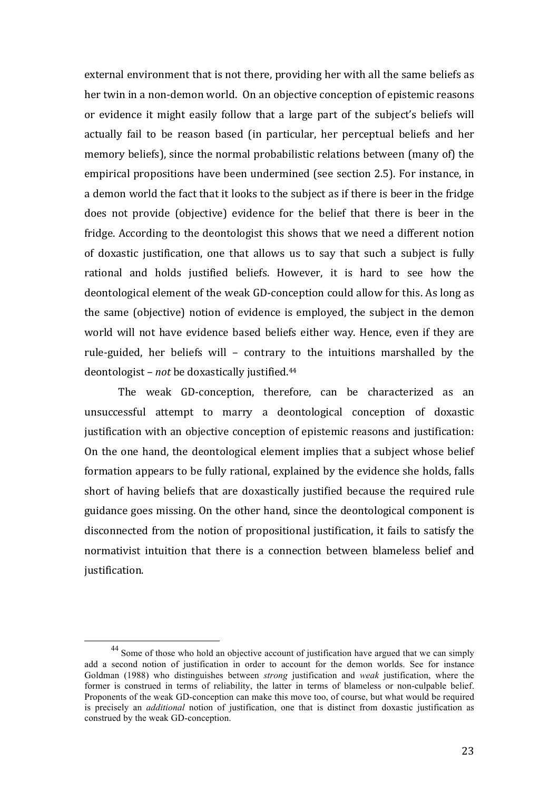external environment that is not there, providing her with all the same beliefs as her twin in a non-demon world. On an objective conception of epistemic reasons or evidence it might easily follow that a large part of the subject's beliefs will actually fail to be reason based (in particular, her perceptual beliefs and her memory beliefs), since the normal probabilistic relations between (many of) the empirical propositions have been undermined (see section 2.5). For instance, in a demon world the fact that it looks to the subject as if there is beer in the fridge does not provide (objective) evidence for the belief that there is beer in the fridge. According to the deontologist this shows that we need a different notion of doxastic justification, one that allows us to say that such a subject is fully rational and holds justified beliefs. However, it is hard to see how the deontological element of the weak GD-conception could allow for this. As long as the same (objective) notion of evidence is employed, the subject in the demon world will not have evidence based beliefs either way. Hence, even if they are rule-guided, her beliefs will – contrary to the intuitions marshalled by the deontologist - not be doxastically justified.<sup>44</sup>

The weak GD-conception, therefore, can be characterized as an unsuccessful attempt to marry a deontological conception of doxastic justification with an objective conception of epistemic reasons and justification: On the one hand, the deontological element implies that a subject whose belief formation appears to be fully rational, explained by the evidence she holds, falls short of having beliefs that are doxastically justified because the required rule guidance goes missing. On the other hand, since the deontological component is disconnected from the notion of propositional justification, it fails to satisfy the normativist intuition that there is a connection between blameless belief and justification.

<sup>&</sup>lt;sup>44</sup> Some of those who hold an objective account of justification have argued that we can simply add a second notion of justification in order to account for the demon worlds. See for instance Goldman (1988) who distinguishes between *strong* justification and *weak* justification, where the former is construed in terms of reliability, the latter in terms of blameless or non-culpable belief. Proponents of the weak GD-conception can make this move too, of course, but what would be required is precisely an *additional* notion of justification, one that is distinct from doxastic justification as construed by the weak GD-conception.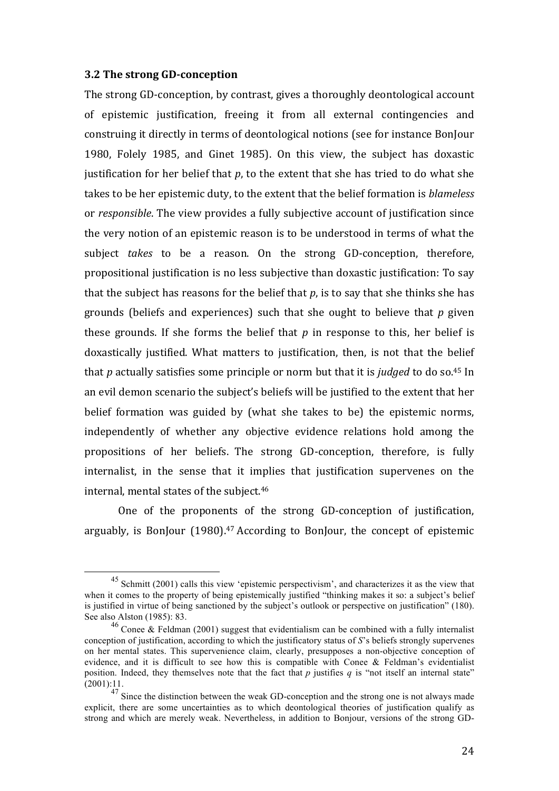#### **3.2** The strong GD-conception

The strong GD-conception, by contrast, gives a thoroughly deontological account of epistemic justification, freeing it from all external contingencies and construing it directly in terms of deontological notions (see for instance BonJour 1980, Folely 1985, and Ginet 1985). On this view, the subject has doxastic iustification for her belief that  $p$ , to the extent that she has tried to do what she takes to be her epistemic duty, to the extent that the belief formation is *blameless* or *responsible*. The view provides a fully subjective account of justification since the very notion of an epistemic reason is to be understood in terms of what the subject *takes* to be a reason. On the strong GD-conception, therefore, propositional justification is no less subjective than doxastic justification: To say that the subject has reasons for the belief that  $p$ , is to say that she thinks she has grounds (beliefs and experiences) such that she ought to believe that  $p$  given these grounds. If she forms the belief that  $p$  in response to this, her belief is doxastically justified. What matters to justification, then, is not that the belief that *p* actually satisfies some principle or norm but that it is *judged* to do so.<sup>45</sup> In an evil demon scenario the subject's beliefs will be justified to the extent that her belief formation was guided by (what she takes to be) the epistemic norms, independently of whether any objective evidence relations hold among the propositions of her beliefs. The strong GD-conception, therefore, is fully internalist, in the sense that it implies that justification supervenes on the internal, mental states of the subject. $46$ 

One of the proponents of the strong GD-conception of justification, arguably, is BonJour  $(1980)^{47}$  According to BonJour, the concept of epistemic

 <sup>45</sup> Schmitt (2001) calls this view 'epistemic perspectivism', and characterizes it as the view that when it comes to the property of being epistemically justified "thinking makes it so: a subject's belief is justified in virtue of being sanctioned by the subject's outlook or perspective on justification" (180). See also Alston (1985): 83.

<sup>&</sup>lt;sup>46</sup> Conee & Feldman (2001) suggest that evidentialism can be combined with a fully internalist conception of justification, according to which the justificatory status of *S*'s beliefs strongly supervenes on her mental states. This supervenience claim, clearly, presupposes a non-objective conception of evidence, and it is difficult to see how this is compatible with Conee & Feldman's evidentialist position. Indeed, they themselves note that the fact that  $p$  justifies  $q$  is "not itself an internal state"  $(2001):11.$ 

<sup>&</sup>lt;sup>47</sup> Since the distinction between the weak GD-conception and the strong one is not always made explicit, there are some uncertainties as to which deontological theories of justification qualify as strong and which are merely weak. Nevertheless, in addition to Bonjour, versions of the strong GD-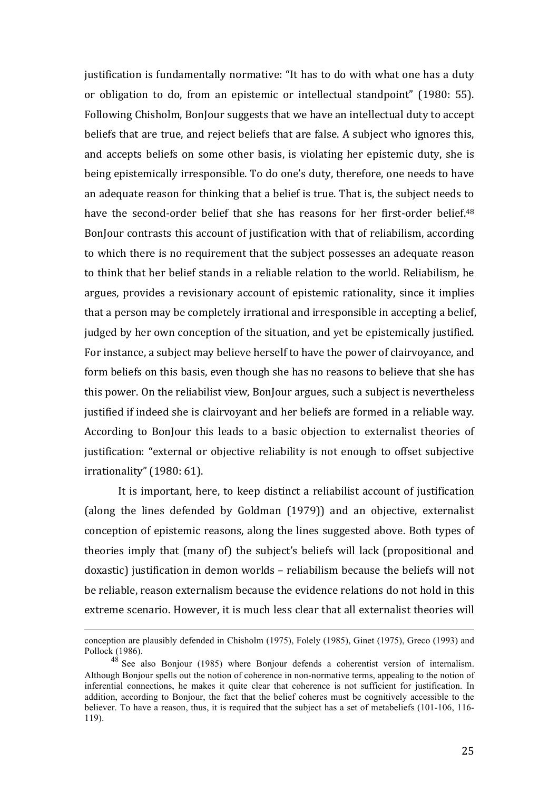justification is fundamentally normative: "It has to do with what one has a duty or obligation to do, from an epistemic or intellectual standpoint" (1980: 55). Following Chisholm, BonJour suggests that we have an intellectual duty to accept beliefs that are true, and reject beliefs that are false. A subject who ignores this, and accepts beliefs on some other basis, is violating her epistemic duty, she is being epistemically irresponsible. To do one's duty, therefore, one needs to have an adequate reason for thinking that a belief is true. That is, the subject needs to have the second-order belief that she has reasons for her first-order belief.<sup>48</sup> BonJour contrasts this account of justification with that of reliabilism, according to which there is no requirement that the subject possesses an adequate reason to think that her belief stands in a reliable relation to the world. Reliabilism, he argues, provides a revisionary account of epistemic rationality, since it implies that a person may be completely irrational and irresponsible in accepting a belief, judged by her own conception of the situation, and yet be epistemically justified. For instance, a subject may believe herself to have the power of clairvoyance, and form beliefs on this basis, even though she has no reasons to believe that she has this power. On the reliabilist view, BonJour argues, such a subject is nevertheless justified if indeed she is clairvoyant and her beliefs are formed in a reliable way. According to BonJour this leads to a basic objection to externalist theories of justification: "external or objective reliability is not enough to offset subjective irrationality" (1980: 61).

It is important, here, to keep distinct a reliabilist account of justification (along the lines defended by Goldman  $(1979)$ ) and an objective, externalist conception of epistemic reasons, along the lines suggested above. Both types of theories imply that (many of) the subject's beliefs will lack (propositional and doxastic) justification in demon worlds – reliabilism because the beliefs will not be reliable, reason externalism because the evidence relations do not hold in this extreme scenario. However, it is much less clear that all externalist theories will

<sup>&</sup>lt;u> 2002 - Andrea San Andrew Maria (h. 1888).</u><br>2003 - Andrew Maria (h. 1882). conception are plausibly defended in Chisholm (1975), Folely (1985), Ginet (1975), Greco (1993) and Pollock (1986).

<sup>&</sup>lt;sup>48</sup> See also Bonjour (1985) where Bonjour defends a coherentist version of internalism. Although Bonjour spells out the notion of coherence in non-normative terms, appealing to the notion of inferential connections, he makes it quite clear that coherence is not sufficient for justification. In addition, according to Bonjour, the fact that the belief coheres must be cognitively accessible to the believer. To have a reason, thus, it is required that the subject has a set of metabeliefs (101-106, 116- 119).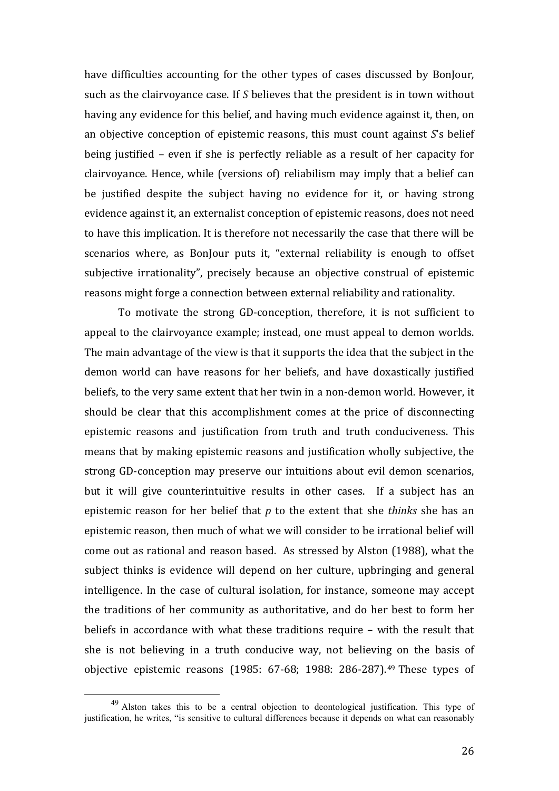have difficulties accounting for the other types of cases discussed by BonJour, such as the clairvoyance case. If *S* believes that the president is in town without having any evidence for this belief, and having much evidence against it, then, on an objective conception of epistemic reasons, this must count against *S*'s belief being justified  $-$  even if she is perfectly reliable as a result of her capacity for clairvoyance. Hence, while (versions of) reliabilism may imply that a belief can be justified despite the subject having no evidence for it, or having strong evidence against it, an externalist conception of epistemic reasons, does not need to have this implication. It is therefore not necessarily the case that there will be scenarios where, as BonJour puts it, "external reliability is enough to offset subjective irrationality", precisely because an objective construal of epistemic reasons might forge a connection between external reliability and rationality.

To motivate the strong GD-conception, therefore, it is not sufficient to appeal to the clairvoyance example; instead, one must appeal to demon worlds. The main advantage of the view is that it supports the idea that the subject in the demon world can have reasons for her beliefs, and have doxastically justified beliefs, to the very same extent that her twin in a non-demon world. However, it should be clear that this accomplishment comes at the price of disconnecting epistemic reasons and justification from truth and truth conduciveness. This means that by making epistemic reasons and justification wholly subjective, the strong GD-conception may preserve our intuitions about evil demon scenarios, but it will give counterintuitive results in other cases. If a subject has an epistemic reason for her belief that  $p$  to the extent that she *thinks* she has an epistemic reason, then much of what we will consider to be irrational belief will come out as rational and reason based. As stressed by Alston (1988), what the subject thinks is evidence will depend on her culture, upbringing and general intelligence. In the case of cultural isolation, for instance, someone may accept the traditions of her community as authoritative, and do her best to form her beliefs in accordance with what these traditions require – with the result that she is not believing in a truth conducive way, not believing on the basis of objective epistemic reasons  $(1985: 67-68; 1988: 286-287).$ <sup>49</sup> These types of

 <sup>49</sup> Alston takes this to be a central objection to deontological justification. This type of justification, he writes, "is sensitive to cultural differences because it depends on what can reasonably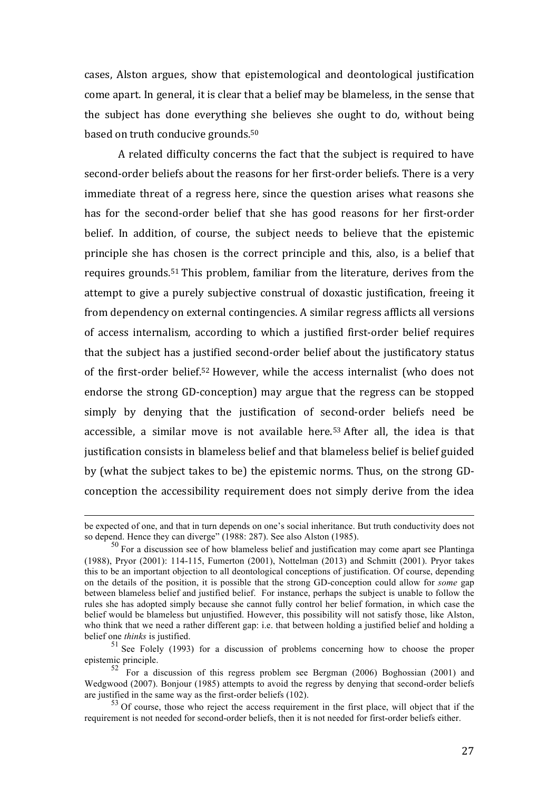cases, Alston argues, show that epistemological and deontological justification come apart. In general, it is clear that a belief may be blameless, in the sense that the subject has done everything she believes she ought to do, without being based on truth conducive grounds.<sup>50</sup>

A related difficulty concerns the fact that the subject is required to have second-order beliefs about the reasons for her first-order beliefs. There is a very immediate threat of a regress here, since the question arises what reasons she has for the second-order belief that she has good reasons for her first-order belief. In addition, of course, the subject needs to believe that the epistemic principle she has chosen is the correct principle and this, also, is a belief that requires grounds.<sup>51</sup> This problem, familiar from the literature, derives from the attempt to give a purely subjective construal of doxastic justification, freeing it from dependency on external contingencies. A similar regress afflicts all versions of access internalism, according to which a justified first-order belief requires that the subject has a justified second-order belief about the justificatory status of the first-order belief.<sup>52</sup> However, while the access internalist (who does not endorse the strong GD-conception) may argue that the regress can be stopped simply by denying that the justification of second-order beliefs need be accessible, a similar move is not available here.<sup>53</sup> After all, the idea is that justification consists in blameless belief and that blameless belief is belief guided by (what the subject takes to be) the epistemic norms. Thus, on the strong GDconception the accessibility requirement does not simply derive from the idea

<sup>&</sup>lt;u> 2000 - Andrea Andrew Maria (h. 1888).</u><br>2001 - Andrew Maria (h. 1889). be expected of one, and that in turn depends on one's social inheritance. But truth conductivity does not so depend. Hence they can diverge" (1988: 287). See also Alston (1985).

<sup>50</sup> For a discussion see of how blameless belief and justification may come apart see Plantinga (1988), Pryor (2001): 114-115, Fumerton (2001), Nottelman (2013) and Schmitt (2001). Pryor takes this to be an important objection to all deontological conceptions of justification. Of course, depending on the details of the position, it is possible that the strong GD-conception could allow for *some* gap between blameless belief and justified belief. For instance, perhaps the subject is unable to follow the rules she has adopted simply because she cannot fully control her belief formation, in which case the belief would be blameless but unjustified. However, this possibility will not satisfy those, like Alston, who think that we need a rather different gap: i.e. that between holding a justified belief and holding a belief one *thinks* is justified.

<sup>&</sup>lt;sup>51</sup> See Folely (1993) for a discussion of problems concerning how to choose the proper epistemic principle.

<sup>52</sup> For a discussion of this regress problem see Bergman (2006) Boghossian (2001) and Wedgwood (2007). Bonjour (1985) attempts to avoid the regress by denying that second-order beliefs are justified in the same way as the first-order beliefs (102).

<sup>&</sup>lt;sup>53</sup> Of course, those who reject the access requirement in the first place, will object that if the requirement is not needed for second-order beliefs, then it is not needed for first-order beliefs either.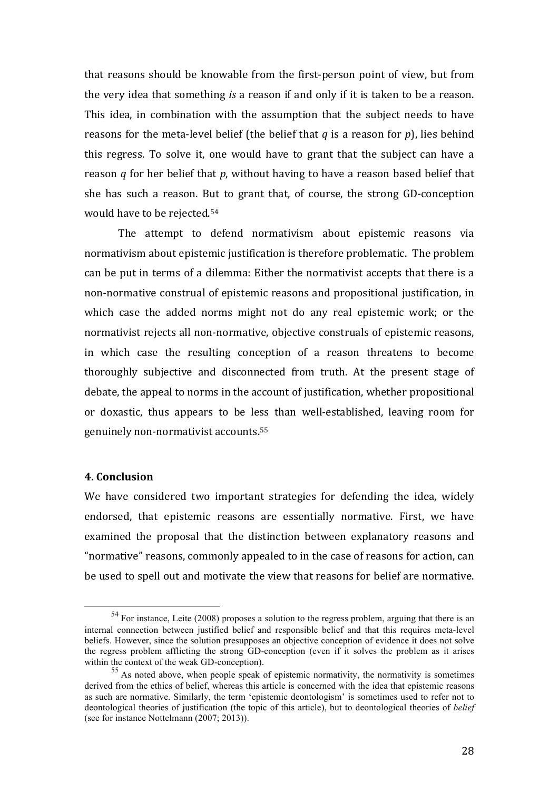that reasons should be knowable from the first-person point of view, but from the very idea that something *is* a reason if and only if it is taken to be a reason. This idea, in combination with the assumption that the subject needs to have reasons for the meta-level belief (the belief that  $q$  is a reason for  $p$ ), lies behind this regress. To solve it, one would have to grant that the subject can have a reason  $q$  for her belief that  $p$ , without having to have a reason based belief that she has such a reason. But to grant that, of course, the strong GD-conception would have to be rejected.<sup>54</sup>

The attempt to defend normativism about epistemic reasons via normativism about epistemic justification is therefore problematic. The problem can be put in terms of a dilemma: Either the normativist accepts that there is a non-normative construal of epistemic reasons and propositional justification, in which case the added norms might not do any real epistemic work; or the normativist rejects all non-normative, objective construals of epistemic reasons, in which case the resulting conception of a reason threatens to become thoroughly subjective and disconnected from truth. At the present stage of debate, the appeal to norms in the account of justification, whether propositional or doxastic, thus appears to be less than well-established, leaving room for genuinely non-normativist accounts.<sup>55</sup>

# **4. Conclusion**

We have considered two important strategies for defending the idea, widely endorsed, that epistemic reasons are essentially normative. First, we have examined the proposal that the distinction between explanatory reasons and "normative" reasons, commonly appealed to in the case of reasons for action, can be used to spell out and motivate the view that reasons for belief are normative.

<sup>&</sup>lt;sup>54</sup> For instance, Leite (2008) proposes a solution to the regress problem, arguing that there is an internal connection between justified belief and responsible belief and that this requires meta-level beliefs. However, since the solution presupposes an objective conception of evidence it does not solve the regress problem afflicting the strong GD-conception (even if it solves the problem as it arises within the context of the weak GD-conception).

<sup>&</sup>lt;sup>55</sup> As noted above, when people speak of epistemic normativity, the normativity is sometimes derived from the ethics of belief, whereas this article is concerned with the idea that epistemic reasons as such are normative. Similarly, the term 'epistemic deontologism' is sometimes used to refer not to deontological theories of justification (the topic of this article), but to deontological theories of *belief* (see for instance Nottelmann (2007; 2013)).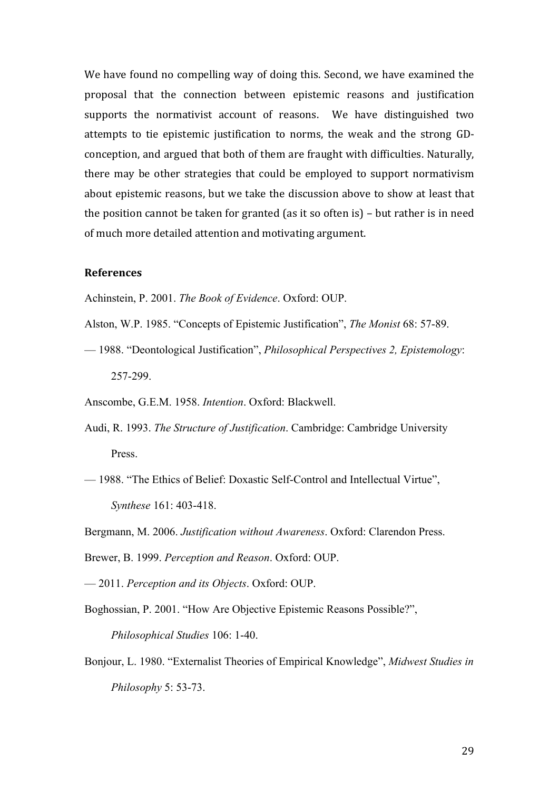We have found no compelling way of doing this. Second, we have examined the proposal that the connection between epistemic reasons and justification supports the normativist account of reasons. We have distinguished two attempts to tie epistemic justification to norms, the weak and the strong GDconception, and argued that both of them are fraught with difficulties. Naturally, there may be other strategies that could be employed to support normativism about epistemic reasons, but we take the discussion above to show at least that the position cannot be taken for granted (as it so often is) – but rather is in need of much more detailed attention and motivating argument.

## **References**

Achinstein, P. 2001. *The Book of Evidence*. Oxford: OUP.

- Alston, W.P. 1985. "Concepts of Epistemic Justification", *The Monist* 68: 57-89.
- 1988. "Deontological Justification", *Philosophical Perspectives 2, Epistemology*: 257-299.

Anscombe, G.E.M. 1958. *Intention*. Oxford: Blackwell.

- Audi, R. 1993. *The Structure of Justification*. Cambridge: Cambridge University Press.
- 1988. "The Ethics of Belief: Doxastic Self-Control and Intellectual Virtue", *Synthese* 161: 403-418.

Brewer, B. 1999. *Perception and Reason*. Oxford: OUP.

— 2011. *Perception and its Objects*. Oxford: OUP.

Boghossian, P. 2001. "How Are Objective Epistemic Reasons Possible?",

*Philosophical Studies* 106: 1-40.

Bonjour, L. 1980. "Externalist Theories of Empirical Knowledge", *Midwest Studies in Philosophy* 5: 53-73.

Bergmann, M. 2006. *Justification without Awareness*. Oxford: Clarendon Press.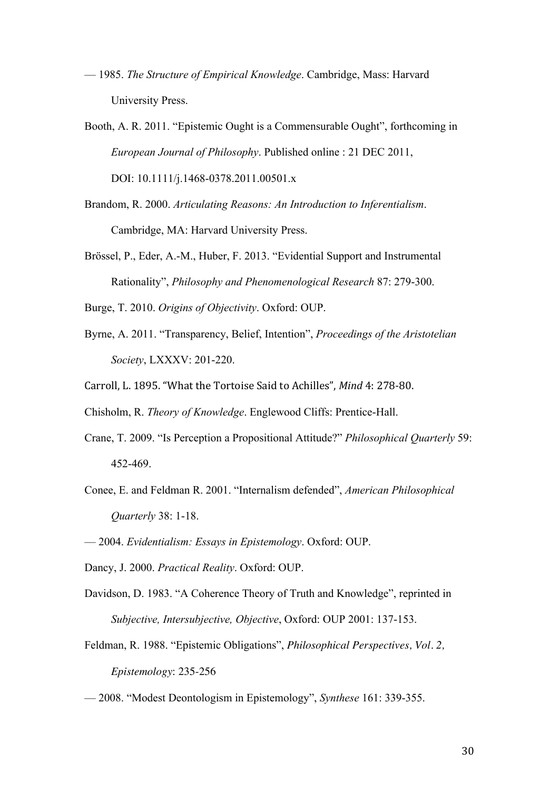— 1985. *The Structure of Empirical Knowledge*. Cambridge, Mass: Harvard University Press.

Booth, A. R. 2011. "Epistemic Ought is a Commensurable Ought", forthcoming in *European Journal of Philosophy*. Published online : 21 DEC 2011, DOI: 10.1111/j.1468-0378.2011.00501.x

Brandom, R. 2000. *Articulating Reasons: An Introduction to Inferentialism*. Cambridge, MA: Harvard University Press.

Brössel, P., Eder, A.-M., Huber, F. 2013. "Evidential Support and Instrumental Rationality", *Philosophy and Phenomenological Research* 87: 279-300.

Burge, T. 2010. *Origins of Objectivity*. Oxford: OUP.

Byrne, A. 2011. "Transparency, Belief, Intention", *Proceedings of the Aristotelian Society*, LXXXV: 201-220.

Carroll, L. 1895. "What the Tortoise Said to Achilles", *Mind* 4: 278-80.

Chisholm, R. *Theory of Knowledge*. Englewood Cliffs: Prentice-Hall.

- Crane, T. 2009. "Is Perception a Propositional Attitude?" *Philosophical Quarterly* 59: 452-469.
- Conee, E. and Feldman R. 2001. "Internalism defended", *American Philosophical Quarterly* 38: 1-18.
- 2004. *Evidentialism: Essays in Epistemology*. Oxford: OUP.
- Dancy, J. 2000. *Practical Reality*. Oxford: OUP.
- Davidson, D. 1983. "A Coherence Theory of Truth and Knowledge", reprinted in *Subjective, Intersubjective, Objective*, Oxford: OUP 2001: 137-153.
- Feldman, R. 1988. "Epistemic Obligations", *Philosophical Perspectives, Vol. 2, Epistemology*: 235-256
- 2008. "Modest Deontologism in Epistemology", *Synthese* 161: 339-355.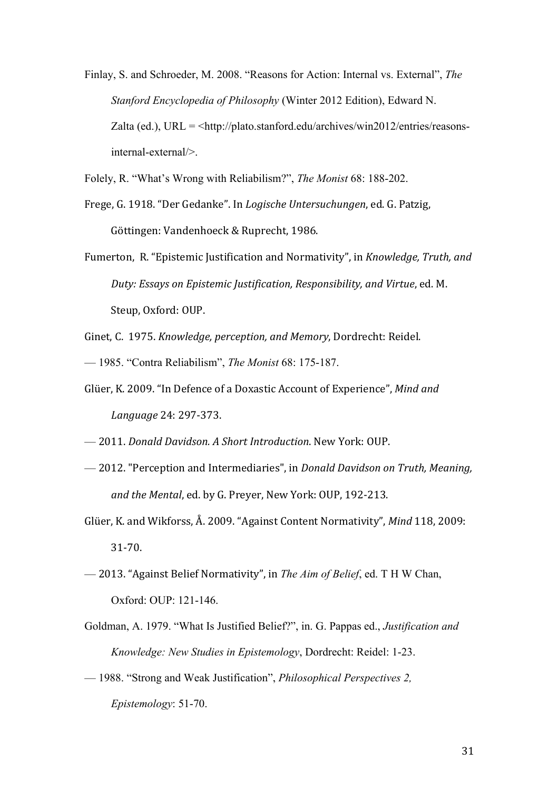Finlay, S. and Schroeder, M. 2008. "Reasons for Action: Internal vs. External", *The Stanford Encyclopedia of Philosophy* (Winter 2012 Edition), Edward N. Zalta (ed.), URL =  $\langle \text{http://plato.stanford.edu/archives/win2012/entries/reasons-}$ internal-external/>.

Folely, R. "What's Wrong with Reliabilism?", *The Monist* 68: 188-202.

- Frege, G. 1918. "Der Gedanke". In *Logische Untersuchungen*, ed. G. Patzig, Göttingen: Vandenhoeck & Ruprecht, 1986.
- Fumerton, R. "Epistemic Justification and Normativity", in *Knowledge, Truth, and Duty: Essays on Epistemic Justification, Responsibility, and Virtue*, ed. M. Steup, Oxford: OUP.

Ginet, C. 1975. *Knowledge, perception, and Memory*, Dordrecht: Reidel.

- 1985. "Contra Reliabilism", *The Monist* 68: 175-187.
- Glüer, K. 2009. "In Defence of a Doxastic Account of Experience", Mind and *Language* 24: 297-373.
- $-2011$ . *Donald Davidson. A Short Introduction*. New York: OUP.
- 2012. "Perception and Intermediaries", in *Donald Davidson on Truth, Meaning,* and the Mental, ed. by G. Preyer, New York: OUP, 192-213.
- Glüer, K. and Wikforss, Å. 2009. "Against Content Normativity", *Mind* 118, 2009: 31-70.
- 2013. "Against Belief Normativity", in *The Aim of Belief*, ed. T H W Chan, Oxford: OUP: 121-146.
- Goldman, A. 1979. "What Is Justified Belief?", in. G. Pappas ed., *Justification and Knowledge: New Studies in Epistemology*, Dordrecht: Reidel: 1-23.
- 1988. "Strong and Weak Justification", *Philosophical Perspectives 2, Epistemology*: 51-70.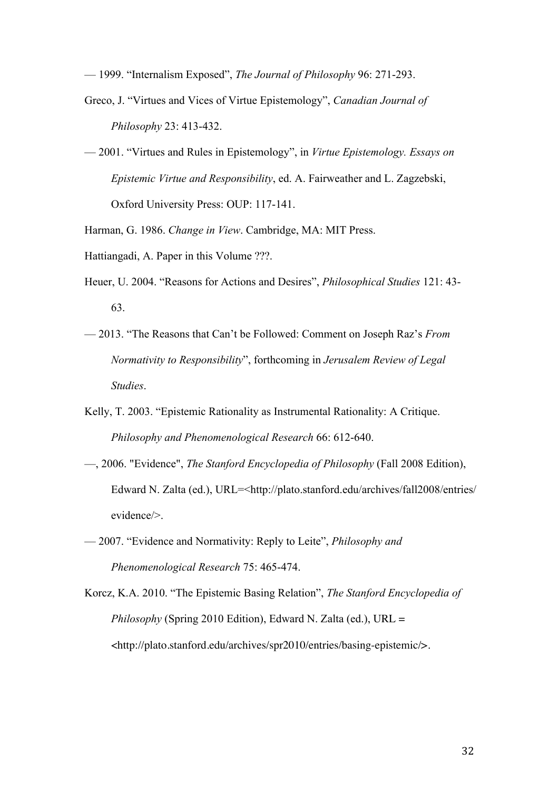— 1999. "Internalism Exposed", *The Journal of Philosophy* 96: 271-293.

- Greco, J. "Virtues and Vices of Virtue Epistemology", *Canadian Journal of Philosophy* 23: 413-432.
- 2001. "Virtues and Rules in Epistemology", in *Virtue Epistemology. Essays on Epistemic Virtue and Responsibility*, ed. A. Fairweather and L. Zagzebski, Oxford University Press: OUP: 117-141.

Harman, G. 1986. *Change in View*. Cambridge, MA: MIT Press.

Hattiangadi, A. Paper in this Volume ???.

- Heuer, U. 2004. "Reasons for Actions and Desires", *Philosophical Studies* 121: 43- 63.
- 2013. "The Reasons that Can't be Followed: Comment on Joseph Raz's *From Normativity to Responsibility*", forthcoming in *Jerusalem Review of Legal Studies*.
- Kelly, T. 2003. "Epistemic Rationality as Instrumental Rationality: A Critique. *Philosophy and Phenomenological Research* 66: 612-640.
- —, 2006. "Evidence", *The Stanford Encyclopedia of Philosophy* (Fall 2008 Edition), Edward N. Zalta (ed.), URL=<http://plato.stanford.edu/archives/fall2008/entries/ evidence/>.
- 2007. "Evidence and Normativity: Reply to Leite", *Philosophy and Phenomenological Research* 75: 465-474.
- Korcz, K.A. 2010. "The Epistemic Basing Relation", *The Stanford Encyclopedia of Philosophy* (Spring 2010 Edition), Edward N. Zalta (ed.), URL = <http://plato.stanford.edu/archives/spr2010/entries/basing-epistemic/>.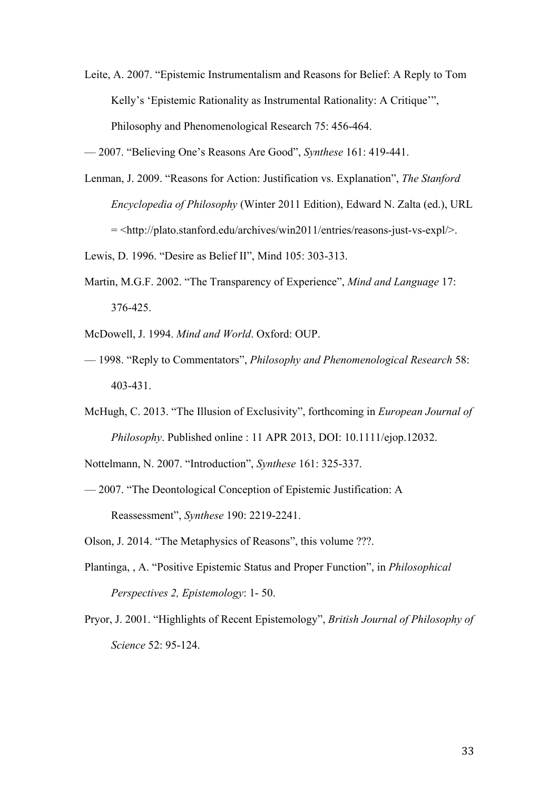Leite, A. 2007. "Epistemic Instrumentalism and Reasons for Belief: A Reply to Tom Kelly's 'Epistemic Rationality as Instrumental Rationality: A Critique'", Philosophy and Phenomenological Research 75: 456-464.

— 2007. "Believing One's Reasons Are Good", *Synthese* 161: 419-441.

- Lenman, J. 2009. "Reasons for Action: Justification vs. Explanation", *The Stanford Encyclopedia of Philosophy* (Winter 2011 Edition), Edward N. Zalta (ed.), URL = <http://plato.stanford.edu/archives/win2011/entries/reasons-just-vs-expl/>.
- Lewis, D. 1996. "Desire as Belief II", Mind 105: 303-313.
- Martin, M.G.F. 2002. "The Transparency of Experience", *Mind and Language* 17: 376-425.
- McDowell, J. 1994. *Mind and World*. Oxford: OUP.
- 1998. "Reply to Commentators", *Philosophy and Phenomenological Research* 58: 403-431.
- McHugh, C. 2013. "The Illusion of Exclusivity", forthcoming in *European Journal of Philosophy*. Published online : 11 APR 2013, DOI: 10.1111/ejop.12032.
- Nottelmann, N. 2007. "Introduction", *Synthese* 161: 325-337.
- 2007. "The Deontological Conception of Epistemic Justification: A Reassessment", *Synthese* 190: 2219-2241.
- Olson, J. 2014. "The Metaphysics of Reasons", this volume ???.
- Plantinga, , A. "Positive Epistemic Status and Proper Function", in *Philosophical Perspectives 2, Epistemology*: 1- 50.
- Pryor, J. 2001. "Highlights of Recent Epistemology", *British Journal of Philosophy of Science* 52: 95-124.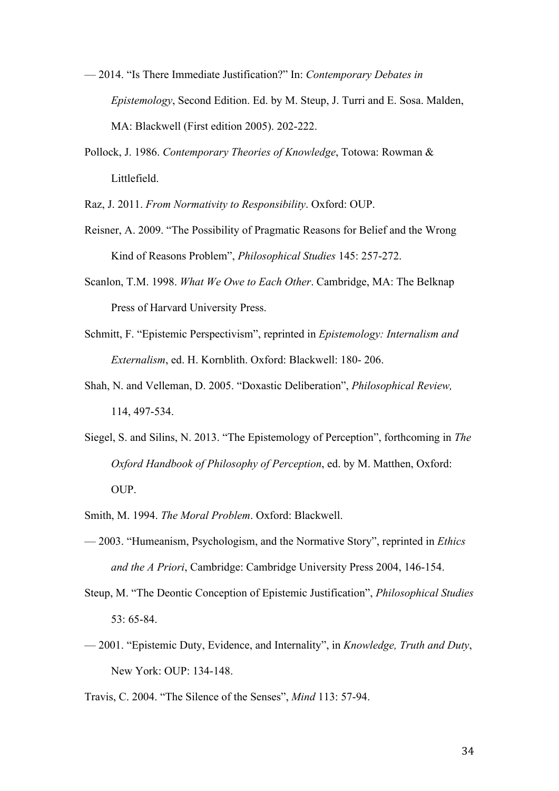- 2014. "Is There Immediate Justification?" In: *Contemporary Debates in Epistemology*, Second Edition. Ed. by M. Steup, J. Turri and E. Sosa. Malden, MA: Blackwell (First edition 2005). 202-222.
- Pollock, J. 1986. *Contemporary Theories of Knowledge*, Totowa: Rowman & Littlefield.
- Raz, J. 2011. *From Normativity to Responsibility*. Oxford: OUP.
- Reisner, A. 2009. "The Possibility of Pragmatic Reasons for Belief and the Wrong Kind of Reasons Problem", *Philosophical Studies* 145: 257-272.
- Scanlon, T.M. 1998. *What We Owe to Each Other*. Cambridge, MA: The Belknap Press of Harvard University Press.
- Schmitt, F. "Epistemic Perspectivism", reprinted in *Epistemology: Internalism and Externalism*, ed. H. Kornblith. Oxford: Blackwell: 180- 206.
- Shah, N. and Velleman, D. 2005. "Doxastic Deliberation", *Philosophical Review,*  114, 497-534.
- Siegel, S. and Silins, N. 2013. "The Epistemology of Perception", forthcoming in *The Oxford Handbook of Philosophy of Perception*, ed. by M. Matthen, Oxford: OUP.
- Smith, M. 1994. *The Moral Problem*. Oxford: Blackwell.
- 2003. "Humeanism, Psychologism, and the Normative Story", reprinted in *Ethics and the A Priori*, Cambridge: Cambridge University Press 2004, 146-154.
- Steup, M. "The Deontic Conception of Epistemic Justification", *Philosophical Studies* 53: 65-84.
- 2001. "Epistemic Duty, Evidence, and Internality", in *Knowledge, Truth and Duty*, New York: OUP: 134-148.
- Travis, C. 2004. "The Silence of the Senses", *Mind* 113: 57-94.